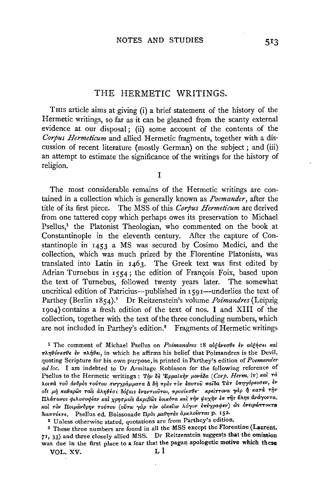# THE HERMETIC WRITINGS.

THIS article aims at giving (i) a brief statement of the history of the Hermetic writings, so far as it can be gleaned from the scanty external evidence at our disposal; (ii) some account of the contents of the Corpus Hermeticum and allied Hermetic fragments, together with a discussion of recent literature (mostly German) on the subject; and (iii) an attempt to estimate the significance of the writings for the history of religion.

 $\mathbf{I}$ 

The most considerable remains of the Hermetic writings are contained in a collection which is generally known as *Poemander*, after the title of its first piece. The MSS of this Corpus Hermeticum are derived from one tattered copy which perhaps owes its preservation to Michael Psellus,<sup>1</sup> the Platonist Theologian, who commented on the book at Constantinople in the eleventh century. After the capture of Constantinople in 1453 a MS was secured by Cosimo Medici, and the collection, which was much prized by the Florentine Platonists, was translated into Latin in 1463. The Greek text was first edited by Adrian Turnebus in 1554; the edition of François Foix, based upon the text of Turnebus, followed twenty years later. The somewhat uncritical edition of Patricius—published in 1591—underlies the text of Parthey (Berlin 1854).<sup>2</sup> Dr Reitzenstein's volume Poimandres (Leipzig 1904) contains a fresh edition of the text of nos. I and XIII of the collection, together with the text of the three concluding numbers, which are not included in Parthey's edition.<sup>3</sup> Fragments of Hermetic writings

<sup>1</sup> The comment of Michael Psellus on Poimandres 18 αυξάνεσθε έν αυξήσει και  $\pi\lambda\eta\theta\acute{\nu}\nu\epsilon\sigma\theta\epsilon$   $\acute{\epsilon}\nu$   $\pi\lambda\acute{\eta}\theta\epsilon\iota$ , in which he affirms his belief that Poimandres is the Devil, quoting Scripture for his own purpose, is printed in Parthey's edition of Poemander ad loc. I am indebted to Dr Armitage Robinson for the following reference of Psellus to the Hermetic writings: Την δε Ερμαϊκήν μονάδα (Corp. Herm. iv) και τά λοιπά του ανδρός τούτου συγγράμματα α δή πρός τον έαυτου παίδα Τατ ύπηγόρευσεν, έν οίς μή καθαρώς ταίς άληθέσι δόξαις έναντιούται, προσίεσθε κρείττονα γάρ ή κατά τήν Πλάτωνος φιλοσοφίαν και χρησμοίς ακριβώς εοικότα και την ψυχην εκ της ύλης ανάγοντα. καί τον Ποιμάνδρην τούτου (ούτω γάρ τον οίκείον λόγον επέγραφεν) ώς ονειρώττοντα διαπτύετε. Psellus ed. Boissonade Πρός μαθητάς άμελούντας p. 152.

<sup>2</sup> Unless otherwise stated, quotations are from Parthey's edition.

<sup>3</sup> These three numbers are found in all the MSS except the Florentine (Laurent. 71, 33) and three closely allied MSS. Dr Reitzenstein suggests that the omission was due in the first place to a fear that the pagan apologetic motive which these

VOL. XV.

513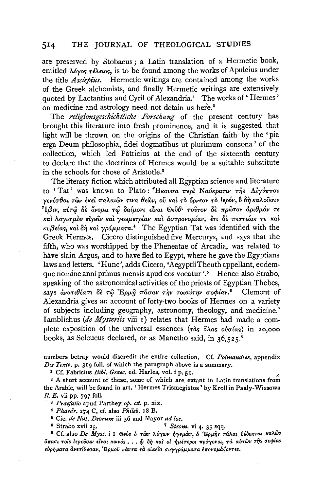#### THE JOURNAL OF THEOLOGICAL STUDIES 514

are preserved by Stobaeus; a Latin translation of a Hermetic book, entitled  $\lambda$ óyos  $\tau \lambda \epsilon \omega s$ , is to be found among the works of Apuleius under the title *Asclebius*. Hermetic writings are contained among the works of the Greek alchemists, and finally Hermetic writings are extensively quoted by Lactantius and Cyril of Alexandria.<sup>1</sup> The works of 'Hermes' on medicine and astrology need not detain us here.<sup>2</sup>

The religionsgeschichtliche Forschung of the present century has brought this literature into fresh prominence, and it is suggested that light will be thrown on the origins of the Christian faith by the 'pia erga Deum philosophia, fidei dogmatibus ut plurimum consona' of the collection, which led Patricius at the end of the sixteenth century to declare that the doctrines of Hermes would be a suitable substitute in the schools for those of Aristotle.<sup>3</sup>

The literary fiction which attributed all Egyptian science and literature to 'Tat' was known to Plato: "Ηκουσα περί Ναύκρατιν της Αίγύπτου γενέσθαι τῶν ἐκεῖ παλαιῶν τινα θεῶν, οὗ καὶ τὸ ὄρνεον τὸ ἱερόν, ὃ δὴ καλοῦσιν \*Ιβιν, αὐτῶ δὲ ὄνομα τῶ δαίμονι εἶναι Θεῦθ· τοῦτον δὲ πρῶτον ἀριθμόν τε και λογισμον εύρειν και γεωμετρίαν και αστρονομίαν, έτι δε πεττείας τε και  $\kappa v \beta \epsilon / \alpha s$ , και δη και γράμματα.<sup>4</sup> The Egyptian Tat was identified with the Greek Hermes. Cicero distinguished five Mercurys, and says that the fifth, who was worshipped by the Pheneatae of Arcadia, was related to have slain Argus, and to have fled to Egypt, where he gave the Egyptians laws and letters. 'Hunc', adds Cicero, 'AegyptiiTheuth appellant, eodemque nomine anni primus mensis apud eos vocatur '.<sup>5</sup> Hence also Strabo, speaking of the astronomical activities of the priests of Egyptian Thebes, says ανατιθέασι δε τώ Ερμή πάσαν την τοιαύτην σοφίαν.<sup>6</sup> Clement of Alexandria gives an account of forty-two books of Hermes on a variety of subjects including geography, astronomy, theology, and medicine.<sup>7</sup> Iamblichus (de Mysteriis viii 1) relates that Hermes had made a complete exposition of the universal essences  $(\tau \dot{\alpha}s \, \delta \lambda \dot{\alpha}s \, \dot{\alpha} \dot{\alpha} \dot{\alpha}s)$  in 20,000 books, as Seleucus declared, or as Manetho said, in 36,525.8

numbers betray would discredit the entire collection. Cf. Poimandres, appendix Die Texte, p. 319 foll. of which the paragraph above is a summary.

<sup>1</sup> Cf. Fabricius Bibl. Graec. ed. Harles, vol. i p. 51.

<sup>2</sup> A short account of these, some of which are extant in Latin translations from the Arabic, will be found in art. 'Hermes Trismegistos' by Kroll in Pauly-Wissowa  $R.E.$  vii pp. 797 foll.

<sup>3</sup> Praefatio apud Parthey op. cit. p. xix.

<sup>4</sup> Phaedr. 274 C, cf. also Phileb. 18 B.

<sup>6</sup> Strabo xvii 25.

<sup>6</sup> Cic. de Nat. Deorum iii 56 and Mayor ad loc.

<sup>7</sup> Strom. vi 4. 35 sqq.

<sup>8</sup> Cf. also De Myst. i I Θεός ο των λόγων ήγεμών, δ Έρμης πάλαι δέδοκται καλώς άπασι τοίς ίερεύσιν είναι κοινός.... Φ δή και οι ήμέτεροι πρόγονοι, τα αυτών της σοφίας εύρήματα άνετίθεσαν, Έρμου πάντα τα οίκεια συγγράμματα έπονομάζοντες.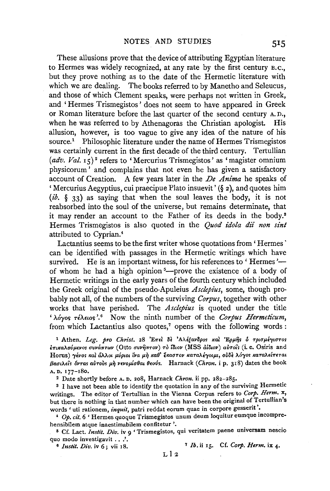These allusions prove that the device of attributing Egyptian literature to Hermes was widely recognized, at any rate by the first century B.c., but they prove nothing as to the date of the Hermetic literature with which we are dealing. The books referred to by Manetho and Seleucus, and those of which Clement speaks, were perhaps not written in Greek, and 'Hermes Trismegistos' does not seem to have appeared in Greek or Roman literature before the last quarter of the second century A. D., when he was referred to by Athenagoras the Christian apologist. His allusion, however, is too vague to give any idea of the nature of his source.<sup>1</sup> Philosophic literature under the name of Hermes Trismegistos was certainly current in the first decade of the third century. Tertullian (adv. Val. 15)<sup>2</sup> refers to 'Mercurius Trismegistos' as 'magister omnium physicorum' and complains that not even he has given a satisfactory account of Creation. A few years later in the *De Anima* he speaks of 'Mercurius Aegyptius, cui praecipue Plato insuevit'  $(\xi_2)$ , and quotes him *(ib.* § 33) as saying that when the soul leaves the body, it is not reabsorbed into the soul of the universe, but remains determinate, that it may render an account to the Father of its deeds in the body.8 Hermes Trismegistos is also quoted in the *Quod idola dii non sint*  attributed to Cyprian. 4

Lactantius seems to be the first writer whose quotations from 'Hermes' can be identified with passages in the Hermetic writings which have survived. He is an important witness, for his references to 'Hermes'of whom he had a high opinion<sup>5</sup>---prove the existence of a body of Hermetic writings in the early years of the fourth century which included the Greek original of the pseudo-Apuleius *Asclepius,* some, though probably not all, of the numbers of the surviving *Corpus,* together with other works that have perished. The *Asclepius* is quoted under the title 'λόγος τέλειος'.<sup>6</sup> Now the ninth number of the *Corpus Hermeticum*, from which Lactantius also quotes,<sup> $7$ </sup> opens with the following words :

<sup>1</sup> Athen. *Leg. pro Christ.* 28 'Επεί δε 'Αλέξανδρος και 'Ερμης ο τρισμέγιστος  $t$ πικαλούμενοs συνάπτων (Otto συνήπτον) τὸ ΐδιον (MSS dίδιον) αὐτοιs (i. e. Osiris and Horus) γένος και άλλοι μύριοι ΐνα μή καθ' Έκαστον καταλέγοιμι, ούδε λόγος καταλείπεται Bασιλείs όνταs αύτουs μή νενομίσθαι θεούs. Harnack (Chron. i p. 318) dates the book A. D, 177-180,

2 Date shortly before A. D. 208, Harnack *Chron.* ii pp. 282-285.

s I have not been able to identify the quotation in any of the surviving Hermetic writings. The editor of Tertullian in the Vienna Corpus refers to *Corp. Henn.* x, but there is nothing in that number which can have been the original of Tertullian's words 'uti rationem, *inquit,* patri reddat eorum quae in corpore gesserit '•

• Op. *cit.* 6 ' Hermes quoque Trismegistos unum deum loquitur eumque incomprehensibilem atque inaestimabilem confitetur '.

5 Cf. Lact. *Instit. Div.* iv 9 'Trismegistos, qui veritatem paene universam nescio quo modo investigavit . . .'.

<sup>6</sup>*Instil. Div.* iv 6; vii 18. 7 *Ib.* ii 15. Cf. *Corp. Herm.* ix 4.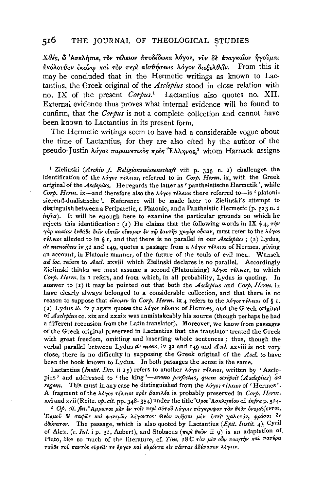#### $5^{16}$ THE JOURNAL OF THEOLOGICAL STUDIES

Χθές, ώ 'Ασκλήπιε, τον τέλειον άποδέδωκα λόγον, νύν δε άναγκαίον ήγούμαι ακόλουθον έκείνω και τον περι αισθήσεως λόγον διεξελθεΐν. From this it may be concluded that in the Hermetic writings as known to Lactantius, the Greek original of the *Asclepius* stood in close relation with no. IX of the present Corpus.<sup>1</sup> Lactantius also quotes no. XII. External evidence thus proves what internal evidence will be found to confirm, that the Corpus is not a complete collection and cannot have been known to Lactantius in its present form.

The Hermetic writings seem to have had a considerable vogue about the time of Lactantius, for they are also cited by the author of the pseudo-Justin λόγος παραινετικός πρός "Ελληνας,<sup>2</sup> whom Harnack assigns

<sup>1</sup> Zielinski (Archiv f. Religionswissenschaft viii p. 335 n. 1) challenges the identification of the  $\lambda \delta \gamma$ os  $\tau \epsilon \lambda \epsilon \omega s$ , referred to in Corp. Herm. ix, with the Greek original of the Asclepius. He regards the latter as ' pantheistische Hermetik', while Corp. Herm. ix—and therefore also the  $\lambda\delta\gamma$ os  $\tau\delta\lambda\epsilon\omega$  there referred to—is ' platonisierend-dualistische'. Reference will be made later to Zielinski's attempt to distinguish between a Peripatetic, a Platonic, and a Pantheistic Hermetic (p. 523 n. 2 *infra*). It will be enough here to examine the particular grounds on which he rejects this identification: (1) He claims that the following words in IX § 4,  $\tau \dot{\gamma} \nu$ γάρ κακίαν ενθάδε δείν οικείν είπομεν έν τω έαυτης χωρίφ ούσαν, must refer to the λόγος  $\tau$ έλειοs alluded to in § 1, and that there is no parallel in our Asclepius; (2) Lydus, de mensibus iv 32 and 149, quotes a passage from a  $\lambda$ óyos  $\tau \epsilon \lambda \epsilon$ ios of Hermes, giving an account, in Platonic manner, of the future of the souls of evil men. Wünsch ad loc, refers to Ascl. xxviii which Zielinski declares is no parallel. Accordingly Zielinski thinks we must assume a second (Platonizing)  $\lambda \phi$  os  $\tau \epsilon \lambda \epsilon \omega$  to which Corp. Herm. ix I refers, and from which, in all probability, Lydus is quoting. In answer to (1) it may be pointed out that both the Asclepius and Corp. Herm. ix have clearly always belonged to a considerable collection, and that there is no reason to suppose that  $\epsilon\ell\pi o\mu\epsilon\nu$  in Corp. Herm. ix 4 refers to the  $\lambda\delta\gamma$ os  $\tau\epsilon\lambda\epsilon$ ios of § 1. (2) Lydus ib. iv 7 again quotes the  $\lambda$ óyos  $\tau$ é $\lambda$ etos of Hermes, and the Greek original of Asclepius cc. xix and xxxix was unmistakeably his source (though perhaps he had a different recension from the Latin translator). Moreover, we know from passages of the Greek original preserved in Lactantius that the translator treated the Greek with great freedom, omitting and inserting whole sentences; thus, though the verbal parallel between Lydus de mens. iv 32 and 149 and Ascl. xxviii is not very close, there is no difficulty in supposing the Greek original of the Ascl. to have been the book known to Lydus. In both passages the sense is the same.

Lactantius (Instit. Div. ii 15) refers to another  $\lambda$ óyos  $\tau$ έλειοs, written by 'Asclepius' and addressed to 'the king'—sermo perfectus, quem scripsit (Asdepius) ad regem. This must in any case be distinguished from the  $\lambda$ óyos  $\tau \in \lambda \in \{1, 2\}$ . A fragment of the λόγος τέλειος πρός βασιλέα is probably preserved in Corp. Herm. xvi and xvii (Reitz. op. cit. pp. 348-354) under the title Όροι 'Ασκληπίου cf. infra p. 524.

<sup>2</sup> Op. cit. fin. "Αμμωνος μεν εν τοις περι αύτου λόγοις πάγκρυφον τον θεον ονομάζοντος, 'Έρμοῦ δὲ σαφῶs καὶ φανερῶs λέγοντοs' Θεὸν νοῆσαι μὲν ἐστὶ χαλεπόν, φράσαι δὲ άδύνατον. The passage, which is also quoted by Lactantius (Epit. Instit. 4), Cyril of Alex. (c. Iul. i p. 31, Aubert), and Stobaeus ( $\pi \epsilon \rho \hat{i} \theta \epsilon \hat{\omega} \nu$  ii 9) is an adaptation of Plato, like so much of the literature, cf. Tim. 28 C rov  $\mu\partial\nu$   $\pi$ oungryv  $\kappa$ al  $\pi$ arépa τούδε του παντός εύρείν τε έργον και ευρόντα είς πάντας άδύνατον λέγειν.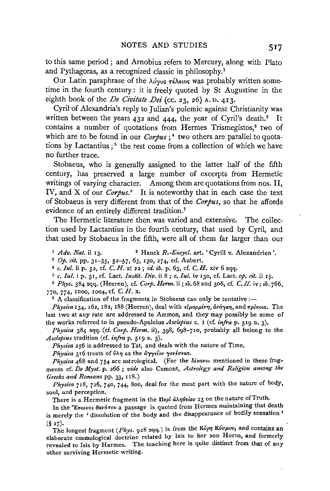to this same period ; and Arnobius refers to Mercury, along with Plato and Pythagoras, as a recognized classic in philosophy.1

Our Latin paraphrase of the λόγος τέλειος was probably written sometime in the fourth century: it is freely quoted by St Augustine in the eighth book of the *De Civitate Dei* (cc. 23, 26) A.D. 413.

Cyril·of Alexandria's reply to Julian's polemic against Christianity was written between the years  $432$  and  $444$ , the year of Cyril's death.<sup>2</sup> It contains a number of quotations from Hermes Trismegistos,<sup>8</sup> two of which are to be found in our *Corpus*;<sup>4</sup> two others are parallel to quotations by Lactantius;<sup>5</sup> the rest come from a collection of which we have no further trace.

Stobaeus, who is generally assigned to the latter half of the fifth century, has preserved a large number of excerpts from Hermetic writings of varying character. Among them are quotations from nos. II, IV, and X of our *Corpus*.<sup>6</sup> It is noteworthy that in each case the text of Stobaeus is very different from that of the *Corpus,* so that he affords evidence of an entirely different tradition.7

The Hermetic literature then was varied and extensive. The collection used by Lactantius in the fourth century, that used by Cyril, and that used by Stobaeus in the fifth, were all of them far larger than our

<sup>1</sup> *Adv. Nat.* ii 13. <sup>2</sup> Hauck *R*.-*Encycl.* art. 'Cyrill v. Alexandrien'.<br><sup>3</sup> *Op.* cit. pp. 31-35, 52-57, 63, 130, 274, ed. Aubert.<br><sup>4</sup> *c. Iul.* ii p. 52, cf. *C. H.* xi 22; *id. ib.* p. 63, cf. *C. H.* xiv 6 sqq.<br><sup></sup>

<sup>6</sup>*Phys.* 384 sqq. (Heeren), cf. *Corp. Henn.* ii; *ib.* 68 and 306, cf. *C.* H. iv; *ib.* 766, 770, 774, 1000, 1004, cf. *C.* H. x.

<sup>7</sup> A classification of the fragments in Stobaeus can only be tentative :-

Physica 134, 162, 182, 188 (Heeren), deal with *είμαρμένη, ανάγκη*, and πρόνοια. The last two at any rate are addressed to Ammon, and they may possibly be some of th~ works referred to in pseudo-Apuleius *Asclepius* c. I (cf. *infra* p. 519 n. 3).

*Physica* 384 sqq. (cf. *Corp. Henn.* ii), 398, 698-710, probably all belong to the Asclepius tradition (cf. *infra* p. 519 n. 3).

*Physica* 256 is addressed to Tat, and deals with the nature of Time.

Physica 316 treats of ύλη as the αγγείον γενέσεως.

*Physica* 468 and 754 are astrological. (For the  $\delta \epsilon$ *kavoi* mentioned in these fragments cf. *De Myst.* p. 266 ; *vide* also Cumont, *Astrology and Religion among the Greeks and Romans pp. 33, 118.)* 

*Physica* 718, 726, 740, 744, Soo, deal for the most part with the nature of body, soul, and perception.

There is a Hermetic fragment in the  $\Pi\epsilon\rho\hat{\iota}$   $\lambda\eta\theta\epsilon$ *ias* 23 on the nature of Truth.

In the 'E*raivos θανάτου* a passage is quoted from Hermes maintaining that death is merely the ' dissolution of the body and the disappearance of bodily sensation '

(§ <sup>2</sup> 7)· ' ' d . The longest fragment *(Phys.* 92s sqq.) is from the *KopTJ Kouµov,* an contams an elaborate cosmological doctrine related by Isis to her son Horus, and formerly revealed to Isis by Hermes. The teaching here is quite distinct from that of any other surviving Hermetic writing.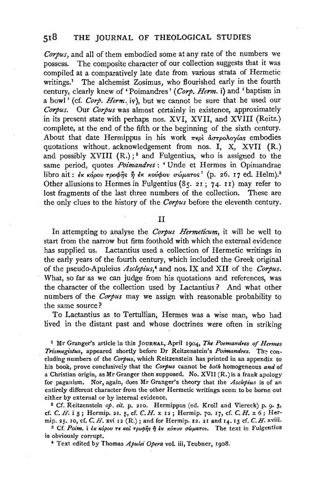*Corpus,* and all of them embodied some at any rate of the numbers we possess. The composite character of our collection suggests that it was compiled at a comparatively late date from various strata of Hermetic writings.<sup>1</sup> The alchemist Zosimus, who flourished early in the fourth century, clearly knew of 'Poimandres' *(Corp. Henn.* i) and 'baptism in a bowl' (cf. *Corp. Herm.* iv), but we cannot be sure that he used our *Corpus.* Our *Corpus* was almost certainly in existence, approximately in its present state with rerhaps nos. XVI, XVII, and XVIII (Reitz.) complete, at the end of the fifth or the beginning of the sixth century. About that date Hermippus in his work  $\pi \epsilon \rho l$   $\partial \sigma \tau \rho \partial \partial \rho \gamma$  as embodies quotations without acknowledgement from nos. I, X, XVII  $(R)$ . and possibly XVIII  $(R.)$ ;<sup>2</sup> and Fulgentius, who is assigned to the same period, quotes *Poimandres:* 'Unde et Hermes in Opimandrae libro ait:  $\epsilon_K$  κόρου τροφής ή  $\epsilon_K$  κούφου σώματος' (p. 26. 17 ed. Helm).<sup>3</sup> Other allusions to Hermes in Fulgentius (85. 2I; 74. rr) may refer to lost fragments of the last three numbers of the collection. These are the only clues to the history of the *Corpus* before the eleventh century.

II

In attempting to analyse the *Corpus Hermeticum,* it will be well to start from the narrow but firm foothold with which the external evidence has supplied us. Lactantius used a collection of Hermetic writings in the early years of the fourth century, which included the Greek original of the pseudo-Apuleius *Asclepius,* <sup>4</sup> . and nos. IX and XII of the *Corpus.*  What, so far as we can judge from his quotations and references, was the character of the collection used by Lactantius ? And what other numbers of the *Corpus* may we assign with reasonable probability to the same source?

To Lactantius as to Tertullian, Hermes was a wise man, who had lived in the distant past and whose doctrines were often in striking

<sup>1</sup>Mr Granger's article in this JOURNAL, April 1904, *The Poemandres of Hermes Trismegistus, appeared shortly before Dr Reitzenstein's Poimandres.* The concluding numbers of the *Corpus,* which Reitzenstein has printed in an appendix to his book, prove conclusively that the *Corpus* cannot be *both* homogeneous *and* of a Christian origin, as Mr Granger then supposed. No.  $XVII(R.)$  is a frank apology for paganism. Nor, again, does Mr Granger's theory that the *Asclepius* is of an entirely different character from the other Hermetic writings seem to be borne out either by external or by internal evidence.<br><sup>2</sup> Cf. Reitzenstein *op. cit.* p. 210. Hermippus (ed. Kroll and Viereck) p. 9. 3,

cf. *C. H.* i 5; Hermip. 21. 5, cf. *C.H.* x 12; Hermip. 70. 17, cf. *C. H.* x 6; Hermip. 25. 10, cf, *C. H.* xvi 12 (R.); and for Hermip. 12. 21 and 14. 13 cf. *C. H.* xviii.<br><sup>3</sup> Cf. *Poim.* i *εκ κόρου τε και τρυφής ή εκ κόπου σώματος*. The text in Fulgentius

is obviously corrupt.

*4* Text edited by Thomas *Apulei Opera* vol. iii, Teubner, 1908.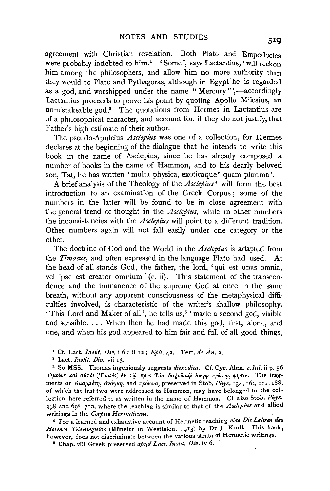agreement with Christian revelation. Both Plato and Empedocles were probably indebted to him.<sup>1</sup> 'Some', says Lactantius, 'will reckon him among the philosophers, and allow him no more authority than they would to Plato and Pythagoras, although in Egypt he is regarded as a god, and worshipped under the name "Mercury"',—accordingly Lactantius proceeds to prove his point by quoting Apollo Milesius, an unmistakeable god.<sup>2</sup> The quotations from Hermes in Lactantius are of a philosophical character, and account for, if they do not justify, that Father's high estimate of their author.

The pseudo-Apuleius *Asclepius* was one of a collection, for Hermes declares at the beginning of the dialogue that he intends to write this book in the name of Asclepius, since he has already composed a number of books in the name of Hammon, and to his dearly beloved son. Tat, he has written ' multa physica, exoticaque <sup>3</sup> quam plurima'.

A brief analysis of the Theology of the *Asclepius* 4 will form the best introduction to an examination of the Greek Corpus ; some of the numbers in the latter will be found to be in close agreement with the general trend of thought in the *Asclepius,* while in other numbers the inconsistencies with the *Asclepius* will point to a different tradition. Other numbers again will not fall easily under one category or the other.

The doctrine of God and the World in the *Asclepius* is adapted from the *Timaeus*, and often expressed in the language Plato had used. At the head of all stands God, the father, the lord, 'qui est unus omnia, vel ipse est creator omnium' (c. ii). This statement of the transcendence and the immanence of the supreme God at once in the same breath, without any apparent consciousness of the metaphysical difficulties involved, is characteristic of the writer's shallow philosophy. 'This Lord and Maker of all', he tells us,<sup>5</sup> 'made a second god, visible and sensible. . . . When then he had made this god, first, alone, and one, and when his god appeared to him fair and full of all good things,

<sup>1</sup> Cf. Lact. *Instit. Div.* i 6; ii 12; *Epit.* 42. Tert. *de An.* 2.<br><sup>2</sup> Lact. *Instit. Div.* vii 13.

<sup>3</sup> So MSS. Thomas ingeniously suggests *diexodica*. Cf. Cyr. Alex. *c. Iul.* ii p. 56 <sup>'</sup>Ομοίως και αυτός ('Ερμής) έν τω πρός Τατ διεξοδικώ λόγω πρώτω, φησίν. The fragments on είμαρμένη, άνάγκη, and πρόνοια, preserved in Stob. Phys. 134, 162, 182, 188, of which the last two were addressed to Hammon, may have belonged to the collection here referred to as written in the name of Hammon. Cf. also Stab. *Phys.*  398 and 698-710, where the teaching is similar to that of the *Asclepius* and allied writings in the *Corpus Hermeticum.* 

' For a learned and exhaustive account of Hermetic teaching *vide Die Lehren des Hermes Trismegistos* (Munster in Westfalen, 1913) by Dr J. Kroll. This book, however, does not discriminate between the various strata of Hermetic writings.

~ Chap. viii Greek preserved *apud Lact. Instit. Div.* iv 6.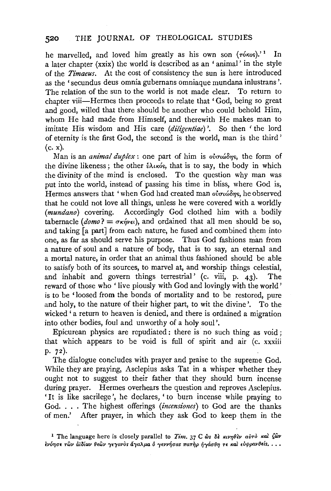he marvelled, and loved him greatly as his own son  $(\tau \circ \kappa \circ s)^{1}$ . In a later chapter (xxix) the world is described as an 'animal' in the style of the *Timaeus.* At the cost of consistency the sun is here introduced as the 'secundus deus omnia gubernans omniaque mundana inlustrans '. The relation of the sun to the world is not made clear. To return to chapter viii—Hermes then proceeds to relate that 'God, being so great and good, willed that there should be another who could behold Him, whom He had made from Himself, and therewith He makes man to imitate His wisdom and His care *(diligentiae)* '. So then ' the lord of eternity is the first God, the second is the world, man is the third ' (c. x).

Man is an *animal duplex* : one part of him is *ουσιώδης*, the form of the divine likeness; the other *νλικός*, that is to say, the body in which the divinity of the mind is enclosed. To the question why man was put into the world, instead of passing his time in bliss, where God is, Hermes answers that 'when God had created man *ουσιώδης*, he observed that he could not love all things, unless he were covered with a worldly *(mundano)* covering. Accordingly God clothed him with a bodily tabernacle  $(domo) = \sigma \kappa \hat{n}$ *v* $\epsilon$ *i*), and ordained that all men should be so, and taking [a part] from each nature, he fused and combined them into one, as far as should serve his purpose. Thus God fashions man from a nature of soul and a nature of body, that is to say, an eternal and a mortal nature, in order that an animal thus fashioned should be able to satisfy both of its sources, to marvel at, and worship things celestial, and inhabit and govern things terrestrial' (c. viii, p. 43). The reward of those who 'live piously with God and lovingly with the world' is to be 'loosed from the bonds of mortality and to be restored, pure and holy, to the nature of their higher part, to wit the divine'. To the wicked' a return to heaven is denied, and there is ordained a migration into other bodies, foul and unworthy of a holy soul'.

Epicurean physics are repudiated: there is no such thing as void; that which appears to be void is full of spirit and air (c. xxxiii p. 72).

The dialogue concludes with prayer and praise to the supreme God. While they are praying, Asclepius asks Tat in a whisper whether they ought not to suggest to their father that they should burn incense during prayer. Hermes overhears the question and reproves Asclepius. 'It is like sacrilege', he declares, ' to burn incense while praying to God. . .. The highest offerings *(incensiones)* to God are the thanks of men.' After prayer, in which they ask God to keep them in the

<sup>&</sup>lt;sup>1</sup> The language here is closely parallel to *Tim.* 37 C ωs δε κινηθεν αύτο και ζων  $i$ νόησε τῶν ἀϊδίων θεῶν γεγονὸs ἄγαλμα ὁ γεννήσαs πατὴρ ήγάσθη τε καὶ εὐφρανθείs. . . .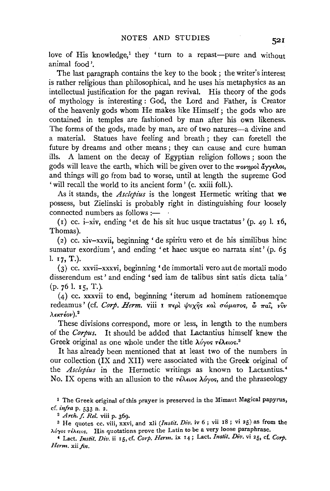love of His knowledge,<sup>1</sup> they ' turn to a repast-pure and without animal food '.

The last paragraph contains the key to the book ; the writer's interest is rather religious than philosophical, and he uses his metaphysics as an intellectual justification for the pagan revival. His theory of the gods of mythology is interesting : God, the Lord and Father, is Creator of the heavenly gods whom He makes like Himself; the gods who are contained in temples are fashioned by man after his own likeness. The forms of the gods, made by man, are of two natures-a divine and a material. Statues have feeling and breath; they can foretell the future by dreams and other means ; they can cause and cure human ills. A lament on the decay of Egyptian religion follows ; soon the gods will leave the earth, which will be given over to the *πονηρολ* άγγελοι, and things will go from bad to worse, until at length the supreme God ' will recall the world to its ancient form ' (c. xxiii foll.).

As it stands, the *Asclepius* is the longest Hermetic writing that we possess, but Zielinski is probably right in distinguishing four loosely connected numbers as follows:-

( $r$ ) cc. i-xiv, ending 'et de his sit huc usque tractatus' ( $p$ . 49 l.  $r$ 6, Thomas).

(2) cc. xiv-xxvii, beginning 'de spiritu vero et de his similibus hinc sumatur exordium', and ending 'et haec usque eo narrata sint' (p. 65) I. 17, T.).

(3) cc. xxvii-xxxvi, beginning 'de immortali vero aut de mortali modo disserendum est' and ending ' sed iam de talibus sint satis dicta talia'  $(p. 761. 15, T.).$ 

(4) cc. xxxvii to end, beginning 'iterum ad hominem rationemque redeamus' (cf. *Corp. Herm.* viii I περί ψυχής και σώματος,  $\delta$  παι, νύν  $\lambda$ εκτέον).<sup>2</sup>

These divisions correspond, more or less, in length to the numbers of the *Corpus.* It should be added that Lactantius himself knew the Greek original as one whole under the title λόγος τέλειος.<sup>3</sup>

It has already been mentioned that at least two of the numbers in our collection (IX and XII) were associated with the Greek original of the *Asclepius* in the Hermetic writings as known to Lactantius.<sup>4</sup> No. IX opens with an allusion to the  $\tau \in \lambda_{\text{ELOS}}$   $\lambda \circ \gamma$ os, and the phraseology

1 The Greek original of this prayer is preserved in the Mimaut Magical papyrus, cf. *infra* p. 533 n. 2.

<sup>2</sup>*Arch.* f. *Rei.* viii p. 369.

s He quotes cc. viii, xxvi, and xii *(lnstit. Div.* iv 6 ; vii 18 ; vi 25) as from the  $\lambda$ óyos  $\tau$ έλειοs. His quotations prove the Latin to be a very loose paraphrase.

' Lact. */nstit. Div.* ii 15, cf. *Corp. Herm.* ix 14; Lact. *Instit. Div.* vi 25, cf. *Corp.*  Herm. xii fin.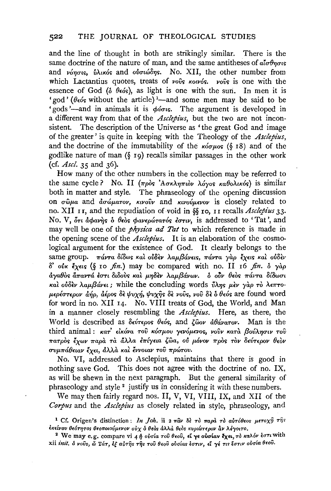and the line of thought in both are strikingly similar. There is the same doctrine of the nature of man, and the same antitheses of  $a\bar{a}\sigma\theta_{\eta\sigma\iota\varsigma}$ and *νόησις*, *ύλικός* and *ούσιώδης*. No. XII, the other number from which Lactantius quotes, treats of *vovs kow6s*. *vovs* is one with the essence of God ( $\delta$   $\theta \epsilon$  os), as light is one with the sun. In men it is sence of  $\sigma$ od ( $\sigma$   $\theta$ eos), as light is one with the sun. In men it is 'gods'—and in animals it is  $\phi$ *ious*. The argument is developed in a different way from that of the *Asclepius,* but the two are not inconsistent. The description of the Universe as 'the great God and image of the greater' is quite in keeping with the Theology of the *Asclepius,*  and the doctrine of the immutability of the  $\kappa'$ <sub>0</sub>  $\kappa$ <sub>0</sub> (§ 18) and of the godlike nature of man (§ 19) recalls similar passages in the other work (cf. *Asel.* 35 and 36).

How many of the other numbers in the collection may be referred to the same cycle? No. II (πρòs 'Ασκληπιὸν λόγος καθολικός) is similar both in matter and style. The phraseology of the opening discussion on σωμα and *ασώματον*, κινούν and κινούμενον is closely related to no. XII I 1, and the repudiation of.void in §§ IO, 11 recalls *Asclepius* 33. No. V, ότι άφανής *δ* θεός φανερώτατός έστιν, is addressed to 'Tat', and may well be one of the *physica ad Tat* to which reference is made in the opening scene of the *Asclepius*. It is an elaboration of the cosmological argument for the existence of God. It clearly belongs to the Same group. *πάντα δίδως και ουδεν λαμβάνεις, πάντα γαρ έχεις και ουδεν 8' ovK* lx•is (§ 10 *fin.)* may be compared with no. II 16 *fin.* & *yap*   $d$ γαθός *άπαντά έστι διδούς και μηδεν λαμβάνων. δ ούν θεός πάντα δίδωσι Kal oV8f:v A.aµf3avn;* while the concluding words VA7JS *µ£v yap TO A<71'TO-* $\mu\epsilon\rho$ έστερον *άήρ, άέρος δε ψυχή, ψυχής δε νούς, νου δε δ θεός* are found word for word in no. XII 14. No. VIII treats of God, the World, and Man in a manner closely resembling the *Asclepius*. Here, as there, the World is described as δεύτερος θεός, and ζώον άθάνατον. Man is the third animal: κατ' είκόνα του κόσμου γενόμενος, νουν κατά βούλησιν του *11'aTpOs lxwv 11'apa Ta /1.,\,\a E11'ly•ia {;wa, ov µOvov 11'pos TOV a.vT•pov o.ov rrvµ11'a0nav lxn, &.Ua Kal lwoiav Tov 11'pcnrov.* 

No. VI, addressed to Asclepius, maintains that there is good in nothing save God. This does not agree with the doctrine of no. IX, as will be shewn in the next paragraph. But the general similarity of phraseology and style 2 justify us in considering it with these numbers.

We may then fairly regard nos. II, V, VI, VIII, IX, and XII of the *Corpus* and the *Asc!epius* as closely related in style, phraseology, and

<sup>&</sup>lt;sup>1</sup> Cf. Origen's distinction: *In Joh.* ii 2  $\pi \hat{a} \nu$   $\delta \hat{e}$   $\tau \partial$   $\pi a \rho \hat{a}$   $\tau \partial$   $a \nu \tau \partial \theta \epsilon$ os  $\mu \epsilon \tau \sigma \chi \hat{\eta}$   $\tau \hat{\eta} s$ **f1'flvov 8E6TTJTOS 8Fo11owVµEvov oVx 0 fJeOs dAAd fJeOs ICVptWTepov Av >..J-yotTO.**  <sup>2</sup>**We may e.g. compare vi** *4* **7)** *oVuta* **T·ov** *Beoii,* **dye oUato.v l)(eL,** *TO 1eaJ...6v* **fO'Tt with** 

**xii** *ini't. 6 voVs,* **iii** *TUT, E( aVTijs T7;S' Toti OeoU oValas fuTiv,* **Ei 'YE** *TtS' fuTll' oVata Beoii.*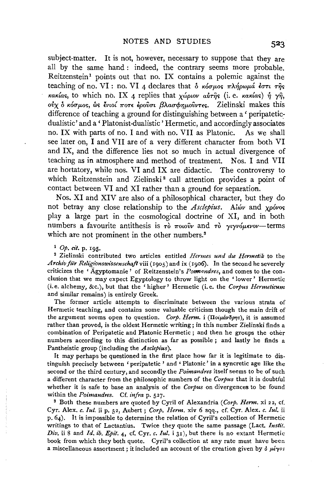subject-matter. It is not, however, necessary to suppose that they are all by the same hand : indeed, the contrary seems more probable. Reitzenstein<sup>1</sup> points out that no. IX contains a polemic against the teaching of no. VI : no. VI 4 declares that  $\delta$   $\kappa \delta \sigma \mu$ os  $\pi \lambda \eta \rho \omega \mu \Delta \epsilon \partial \tau \nu$   $\tau \eta$ s κακίας, to which no. IX 4 replies that χώριον αύτης (i. e. κακίας) ή γη, ούχ δ κόσμος, ως ένιοί ποτε έρουσι βλασφημούντες. Zielinski makes this difference of teaching a ground for distinguishing between a ' peripateticdualistic' and a' Platonist-dualistic' Hermetic, and accordingly associates no. IX with parts of no. I and with no. VII as Platonic. As we shall see later on, I and VII are of a very different character from both VI and IX, and the difference lies not so much in actual divergence of teaching as in atmosphere and method of treatment. Nos. I and VII are hortatory, while nos. VI and IX are didactic. The controversy to which Reitzenstein and Zielinski<sup>2</sup> call attention provides a point of contact between VI and XI rather than a ground for separation.

Nos. XI and XIV are also of a philosophical character, but they do not betray any close relationship to the *Asclepius*. Alw and xpovos play a large part in the cosmological doctrine of XI, and in both numbers a favourite antithesis is  $\tau$ <sup>*o*</sup>  $\pi$ 010<sup>*y*</sup> and  $\tau$ <sup>*o*</sup>  $\gamma$ *v* $\gamma$ *v* $\gamma$ *u* $\gamma$ *v* $\gamma$ *u*-terms which are not prominent in the other numbers.<sup>3</sup>

<sup>1</sup>Op. *cit.* p. 195. 2 Zielinski contributed two articles entitled *Hermes und die Hermetik* to the Archiv für Religionswissenschaft viii (1905) and ix (1906). In the second he severely criticizes the 'Agyptomanie' of Reitzenstein's *Pormandres*, and comes to the conclusion that we may expect Egyptology to throw light on the ' lower' Hermetic (i.e. alchemy, &c.), but that the 'higher' Hermetic (i. e. the *Corpus Hermeticum*  and similar remains) is entirely Greek.

The former article attempts to discriminate between the various strata of Hermetic teaching, and contains some valuable criticism though the main drift of the argument seems open to question. *Corp. Herm.* i ( $\pi$ oi $\mu$ áv $\delta$ *pms*), it is assumed rather than proved, is the oldest Hermetic writing; in this number Zielinski finds a combination of Peripatetic and Platonic Hermetic ; and then he groups the other numbers according to this distinction as far as possible ; and lastly he finds a Pantheistic group (including the *Asclepius).* 

It may perhaps be questioned in the first place how far it is legitimate to distinguish precisely between 'peripatetic ' and ' Platonic' in a syncretic age like the second or the third century, and secondly the *Poimandres* itself seems to be of such a different character from the philosophic numbers of the *Corpus* that it is doubtful whether it is safe to base an analysis of the *Corpus* on divergences to be found within the *Poimandres.* Cf. *infra* p. 527.<br><sup>3</sup> Both these numbers are quoted by Cyril of Alexandria *(Corp. Herm.* xi 22, cf.

Cyr. Alex. *c. Jui.* ii p. 52, Aubert; *Corp. Herm.* xiv 6 sqq., cf. Cyr. Alex. *c. lul.* ii p. 64). It is impossible to determine the relation of Cyril's collection of Hermetic writings to that of Lactantius. Twice they quote the same passage (Lact. *Instit. Div.* ii 8 and *Id. ib. Epit.* 4, cf. Cyr. *c. lul.* i 31), but there is no extant Hermetic book from which they both quote. Cyril's collection at any rate must have been a miscellaneous assortment; it included an account of the creation given by  $\delta \mu \acute{\epsilon} \gamma \alpha s$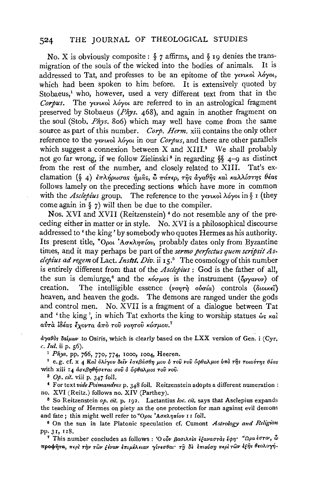## 524 THE JOURNAL OF THEOLOGICAL STUDIES

No. X is obviously composite: *§* 7 affirms, and *§* 19 denies the trans-No. X is obviously composite:  $\S$  7 attitudes and  $\S$  to denies the transmigration of the souls of the wicked into the bodies of animals. It is addressed to Tat, and professes to be an epitome of the  $\gamma \epsilon \nu \kappa \delta \lambda \delta \gamma o \iota$ , which had been spoken to him before. It is extensively quoted by Store and the stock of the very different text from the very different text from the very different text from the interest from the very different text from the very different text from the very different text from the ver paeus, who, however, used a very different text from that in the Corpus. The γενικολ λόγοι are referred to in an astrological fragment preserved by Stobaeus (*Phys.* 468), and again in another fragment on the soul (Stob. *Phys.* 806) which may well have come from the same sour source as part of the only well have come from the same  $\frac{u}{c}$  as part of this number,  $\frac{C}{c}$  *Corp. Herm*,  $\frac{v}{c}$  in contains the only other reference to the  $\gamma$ <sub>E</sub>virol  $\lambda$ óyoi in our *Corpus*, and there are other parallels which suggest a connexion between  $X$  and  $XIII$ <sup>2</sup>. We shall probably not go far wrong, if we follow Zielinski<sup>3</sup> in regarding §§  $4-9$  as distinct from the rest of the number, and closely related to XIII. Tat's exclamation (§ 4)  $\epsilon \pi \lambda \eta \rho \omega \sigma \alpha s$   $\eta \mu \hat{\alpha} s$ ,  $\omega \pi \alpha \tau \rho$ ,  $\tau \hat{\eta} s$   $\alpha \gamma \rho \alpha \rho \gamma s$   $\alpha \lambda \lambda \alpha \tau \eta s$   $\theta \epsilon \alpha s$  follows lamely on the preceding sections which have more in common with the *Associate of the preceding seculors* which have more in common come *asceptus* group. The reference to the yevikor  $\frac{1}{2}$  again in  $\frac{1}{2}$   $\frac{1}{2}$  will then be due to the complier.

ros.  $\Delta v1$  and  $\Delta v11$  (relizensiem) do not resemble any of the preceding either in matter or in style. No. XVI is a philosophical discourse addressed to 'the king' by somebody who quotes Hermes as his authority. Its present title, <sup>*\*Οροι* 'Ασκληπίου, probably dates only from Byzantine</sup> times, and it may perhaps be part of the sermo perfectus quem scripsit Asclepius ad regem of Lact. Instit. Div. ii 15.<sup>5</sup> The cosmology of this number is entirely different from that of the Asclepius : God is the father of all, the sun is demiurge,<sup>6</sup> and the  $\kappa \acute{o} \tau \mu \circ s$  is the instrument ( $\delta \rho \gamma \alpha \nu \circ r$ ) of creation. The intelligible essence (vontrols ( $\delta \nu \alpha \epsilon \hat{i}$ ) The intelligible essence ( $\nu$ o $\nu$  $\vec{\tau}$ ) o $\vec{\nu}$ oría) controls (διοικεί) heaven, and heaven the gods. The demons are ranged under the gods and control men. No. XVII is a fragment of a dialogue between Tat and 'the king', in which Tat exhorts the king to worship statues  $\omega_s \kappa a \lambda$ <br> $\alpha \dot{v} \tau \dot{a}$   $\delta \delta \alpha s$   $\bar{\epsilon}_{X^{\text{OPT}}} \alpha \dot{a} \tau \dot{\alpha}$   $\tau \dot{\omega} \nu \alpha \gamma \dot{\alpha} \beta \dot{\alpha} \sigma \nu \dot{\alpha} \nu \dot{\alpha}$ 

*a")'atlos aa<µ(J)v* to Osiris, which is clearly based on the LXX version of Gen. i (Cyr. <sup>100</sup>s oaiµwr to U *c. Iul.* ii p. 56).<br><sup>1</sup> Phys. pp. 766, 770, 774, 1000, 1004, Heeren.

<sup>2</sup> e.g. cf. x 4 Kal ολίγου δείν εσεβάσθη μου ο του νου όφθαλμος υπό της τοιαύτης θέας with xiii 14  $d\sigma \epsilon \beta \eta \theta \eta \sigma \epsilon \tau a \tau \sigma \sigma \hat{b} \delta \phi \theta a \lambda \mu \sigma \tau \sigma \hat{b} \nu \sigma \hat{b}$ .<br><sup>3</sup> *Op. cit.* viii p. 347 foll.

*4Formula 42* foll. **Points and Points and Points and Points and Points and Points and Points and Points and Points and Points and Points and Points and Points and Points and Points and Points and Points and Points and P** 

no. *K* is the *x* and *e* Commandres p. 348 foll. Reitzenstein adopts a different numeration **i**  $XVI$  (Reitz.) follows no.  $XIV$  (Parthey).

<sup>5</sup> So Reitzenstein  $\omega$ ,  $\alpha t$ , p. 192. Lactantius  $\omega c$ .  $\alpha t$ , says that Asclepius expands the teaching of Hermes on piety as the one protection for man against evil demons and fate; this might well refer to *"Opot 'Aσκληπίου* II foll.

<sup>6</sup> On the sun in late Platonic speculation cf. Cumont Astrology and Religion pp.  $31, 118$ .

<sup>7</sup> This number concludes as follows : 'Ο οὖν βασιλεὺs ἐξαναστὰs ἔφη· <sup>σ</sup>Ωρα ἐστιν, ὦ<br>προφήτα, περ*ί τὴν τῶν ξένων ἐπιμέλειαν γίνεσθαι· τῆ δὲ ἐπιούση περί τῶν ἐξῆς θεολογή-*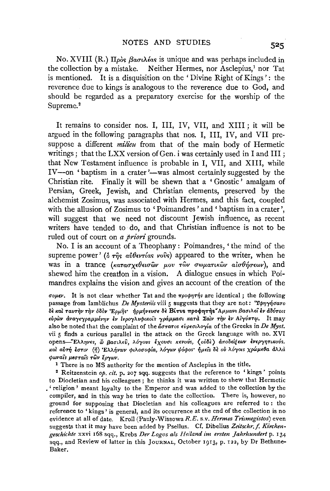No. XVIII (R.)  $\pi_{\rho\alpha}$   $\beta_{\alpha\sigma}$ *(* $\lambda$ *<sub>i</sub>* $\alpha$ <sub>5</sub> is unique and was perhaps included in the collection by a mistake. Neither Hermes, nor Asclepius,<sup>1</sup> nor Tat is mentioned. It is a disquisition on the ' Divine Right of Kings' : the reverence due to kings is analogous to the reverence due to God, and should be regarded as a preparatory exercise for the worship of the Supreme.<sup>2</sup>

It remains to consider nos. I, III, IV, VII, and XIII ; it will be argued in the following paragraphs that nos. I, III, IV, and VII presuppose a different *milieu* from that of the main body of Hermetic writings; that the LXX version of Gen. i was certainly used in I and III; that New Testament influence is probable in I, VII, and XIII, while  $IV$ —on 'baptism in a crater '—was almost certainly suggested by the Christian rite. Finally it will be shewn that a ' Gnostic' amalgam of Persian, Greek, Jewish, and Christian elements, preserved by the alchemist Zosimus, was associated with Hermes, and this fact, coupled with the allusion of Zosimus to 'Poimandres 'and ' baptism in a crater', will suggest that we need not discount Jewish influence, as recent writers have tended to do, and that Christian influence is not to be ruled out of court on *a priori* grounds.

No. I is an account of a Theophany: Poimandres, 'the mind of the supreme power' ( $\delta \tau \hat{\eta} s$   $\alpha \hat{\nu} \theta \epsilon \nu \hat{\tau}$  as vovs) appeared to the writer, when he was in a trance *(κατασχεθεισών μου τών σωματικών αισθήσεων*), and shewed him the creation in a vision. A dialogue ensues in which Poimandres explains the vision and gives an account of the creation of the

*uoµev.* It is not clear whether Tat and the *TrpO</>T)•"fis* are identical ; the following passage from Iamblichus *De Mysteriis* viii 5 suggests that they are not: 'Υφηγήσατο OE *1tal TavTi)v Ti)v ooov 'Epµijs· -/ipµfivev<!E* OE BCT\IS 1TpO<j>1)T1\s" *AµµaJV< {3a<117'.e'i* EV dovTOIS eύρων αναγεγραμμένην εν ιερογλυφικοίς γράμμασι κατα Σαίν την εν Αιγύπτω. It may also be noted that the complaint of the  $\tilde{a}\sigma\tau\alpha\tau$ os  $\epsilon\tilde{\nu}\rho\epsilon\sigma\iota\lambda\sigma\gamma\iota\sigma$  of the Greeks in *De Myst.* vii 5 finds a curious parallel in the attack on the Greek language with no. XVI **opens-"'Ei\A17vEs, if; \$aO'iAEV,** *i\67ovs- lxova't* **«EvoVs, (** oV~E) **d:rroliEl[EMI** *Evep71]Tt1Cot5s. και αυτή εστιν (ή) 'Ελλήνων φιλοσοφία, λόγων ψόφος' ήμεις δε ου λόγοις χρώμεθα άλλα cpll>va<s µ•<!Tats TWV* EP""f"'"·

1 There is no MS authority for the mention of Asclepius in the title. 2 Reitzenstein *op. cit.* p. 207 sqq. suggests that the reference to ' kings' points to Diocletian and his colleagues ; he thinks it was written to shew that Hermetic • 'religion' meant loyalty to the Emperor and was added to the collection by the compiler, and in this way he tries to date the collection. There is, however, no ground for supposing that Diocletian and his colleagues are referred to : the reference to 'kings' is general, and its occurrence at the end of the collection is no evidence at all of date. Kroll (Pauly-WissowaR.E. s.v. *Hermes Trismegistos)* even suggests that it may have been added by Psellus. Cf. Dibelius *Zeitschr.f. Kirchengeschichte* xxvi 168 sqq., Krebs *Der Logos als Reiland im ersten ]ahrhundert* p. 134 sqq., and Review of latter in this JouRNAL, October 1913, p. 122, by Dr Bethune-Baker.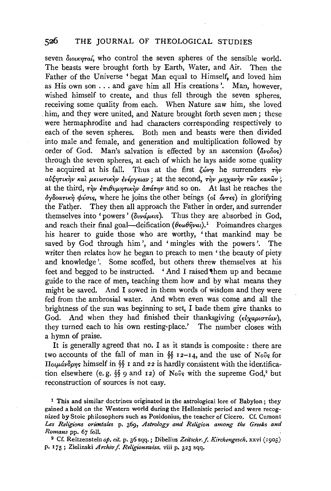# **526 THE** JOURNAL OF THEOLOGICAL STUDIES

seven  $\delta$ *iouxnta*<sup>*i*</sup>, who control the seven spheres of the sensible world. The beasts were brought forth by Earth, Water, and Air. Then the Father of the Universe 'begat Man equal to Himself, and loved him as His own son ... and gave him all His creations'. Man, however, wished himself to create, and thus fell through the seven spheres, receiving some quality from each. When Nature saw him, she loved him, and they were united, and Nature brought forth seven men; these were hermaphrodite and had characters corresponding respectively to each of the seven spheres. Both men and beasts were then divided into male and female, and generation and multiplication followed by order of God. Man's salvation is effected by an ascension  $(d\nu\alpha\delta\circ s)$ through the seven spheres, at each of which he lays aside some quality he acquired at his fall. Thus at the first  $\zeta \omega r \eta$  he surrenders  $r \gamma r$ aύξητικήν και μειωτικήν ενέργειαν; at the second, την μηχανήν των κακών; at the third,  $r\hat{\psi}\psi \partial x \psi \partial y \partial y$   $\partial x \partial x \partial y$  and so on. At last he reaches the 6y8oartK~ *cpv<ns,* where he joins the other beings *(oi OVT£s)* in glorifying the Father. They then all approach the Father in order, and surrender themselves into 'powers' *(δυνάμειs)*. Thus they are absorbed in God, and reach their final goal-deification  $(\theta \epsilon \omega \theta \hat{\eta} \nu \omega)$ .<sup>1</sup> Poimandres charges his hearer to guide those who are worthy, 'that mankind may be saved by God through him', and 'mingles with the powers'. The writer then relates how he began to preach to men 'the beauty of piety and knowledge'. Some scoffed, but others threw themselves at his feet and begged to be instructed. 'And I raised them up and became guide to the race of men, teaching them how and by what means they might be saved. And I sowed in them words of wisdom and they were fed from the ambrosial water. And when even was come and all the brightness of the sun was beginning to set, I bade them give thanks to God. And when they had finished their thanksgiving ( $\epsilon_{\nu}$ xapio $\tau$ iav), they turned each to his own resting-place.' The number closes with a hymn of praise.

It is generally agreed that no. I as it stands is composite : there are two accounts of the fall of man in  $\S$  12-14, and the use of *Novs* for *IToιμάνδρης* himself in §§ 1 and 22 is hardly consistent with the identification elsewhere (e. g. §§ 9 and 12) of *Novs* with the supreme God,2 but reconstruction of sources is not easy.

<sup>1</sup> This and similar doctrines originated in the astrological lore of Babylon; they gained a hold on the Western world during the Hellenistic period and were recognized by Stoic philosophers such as Posidonius, the teacher of Cicero. Cf. Cumont *Les Religions orientates* p. 369, *Astrology and Religion among the Greeks and Romans* pp. *<sup>67</sup>*foll. 2 Cf. Reitzenstein *op. cit.* p. 36 sqq.; Dibelius *Zeitschr.f. Kirchengesch.* xxvi (r905)

p. 175; Zielinski *Archivf. Religionswiss.* viii p. 323 sqq.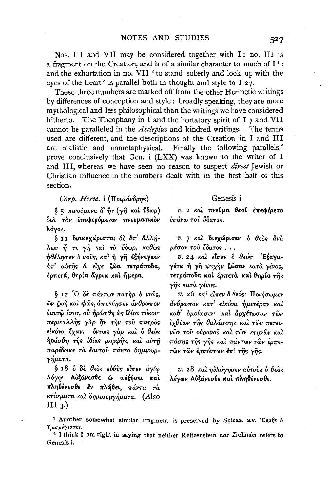Nos. III and VII may be considered together with I; no. III is a fragment on the Creation, and is of a similar character to much of  $I^1$ ; and the exhortation in no. VII ' to stand soberly and look up with the eves of the heart' is parallel both in thought and style to I 27.

These three numbers are marked off from the other Hermetic writings by differences of conception and style: broadly speaking, they are more mythological and less philosophical than the writings we have considered The Theophany in I and the hortatory spirit of I 7 and VII hitherto. cannot be paralleled in the *Asclepius* and kindred writings. The terms used are different, and the descriptions of the Creation in I and III are realistic and unmetaphysical. Finally the following parallels<sup>2</sup> prove conclusively that Gen. i (LXX) was known to the writer of I and III, whereas we have seen no reason to suspect *direct* Jewish or Christian influence in the numbers dealt with in the first half of this section.

## $Corp.$  Herm.  $i$  ( $\Pi$ oιμάνδρης)

ξ 5 κινούμενα δ' ήν (γη και ΰδωρ) διά τον έπιφερόμενον πνευματικόν λόγον.

διι διακεχώρισται δε άπ' άλλήλων ή τε γή και το ύδωρ, καθώς ήθέλησεν ὁ νοῦς, καὶ ἡ γῆ ἐξήνεγκεν άπ' αύτης α είχε ζώα τετράποδα, έρπετά, θηρία άγρια και ήμερα.

§ 12 O δε πάντων πατήρ ο νούς,  $\phi$ ν ζωή και φως, άπεκύησεν άνθρωπον έαυτω ίσον, ού ήράσθη ως ιδίου τόκου· περικαλλής γάρ ήν την του πατρός εικόνα έχων. όντως γάρ και ο θεος ήράσθη τῆς ἰδίας μορφῆς, καὶ αὐτῆ παρέδωκε τα έαυτου πάντα δημιουρ- $\gamma$  $\eta$ ματα.

§ 18 ὁ δὲ θεὸς εὐθὺς εἶπεν άγίω λόγω· Αὐξάνεσθε ἐν αὐξήσει καὶ πληθύνεσθε έν πλήθει, πάντα τα κτίσματα και δημιουργήματα. (Also III  $3$ .)

### Genesis i

υ. 2 και πνεύμα θεού επεφέρετο έπάνω του ύδατος.

υ. 7 και διεχώρισεν ο θεος άνα μέσον του ύδατος...

υ. 24 και είπεν ο θεός· Έξαγαγέτω ή γη ψυχήν ζώσαν κατά γένος, τετράποδα καί έρπετά καί θηρία της γῆς κατὰ γένος.

υ. 26 καὶ εἶπεν ὁ θεός· Ποιήσωμεν άνθρωπον κατ' εἰκόνα ἡμετέραν καὶ καθ' δμοίωσιν· καὶ ἀρχέτωσαν τῶν ίχθύων τῆς θαλάσσης καὶ τῶν πετεινῶν τοῦ οὐρανοῦ καὶ τῶν κτηνῶν καὶ πάσης της γης και πάντων τῶν έρπετῶν τῶν ἐρπόντων ἐπὶ τῆς γῆς.

υ. 28 καὶ ηὐλόγησεν αὐτοὺς δ θεὸς λέγων Αυξάνεσθε και πληθύνεσθε.

1 Another somewhat similar fragment is preserved by Suidas, s.v. Epuns of Τοισμέγιστος.

<sup>2</sup> I think I am right in saying that neither Reitzenstein nor Zielinski refers to Genesis i.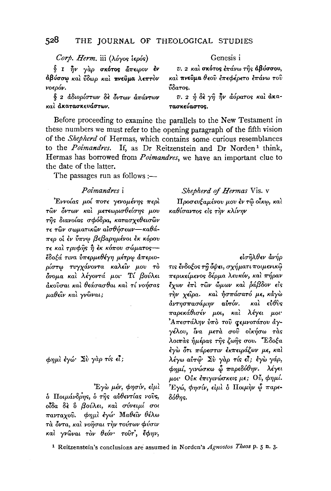#### $528$ THE IOURNAL OF THEOLOGICAL STUDIES

Corp. Herm. iii (λόγος ιερός)

§ Ι ην γάρ σκότος άπειρον έν άβύσσω και ύδωρ και πνεύμα λεπτον νοερόν.

δ 2 αδιορίστων δε όντων απάντων καλ άκατασκευάστων.

Genesis i

*v. 2 και σκότος έπάνω της αβύσσου,* και πνεύμα θεού επεφέρετο επάνω του *ιδατο*ς.

υ. 2 ή δε γη ήν αόρατος και άκα-**TRAKELLATOR** 

Before proceeding to examine the parallels to the New Testament in these numbers we must refer to the opening paragraph of the fifth vision of the Shepherd of Hermas, which contains some curious resemblances to the Poimandres. If, as Dr Reitzenstein and Dr Norden<sup>1</sup> think, Hermas has borrowed from *Poimandres*, we have an important clue to the date of the latter.

The passages run as follows :-

## *Poimandres* i

Έννοίας μοί ποτε γενομένης περί τών όντων και μετεωρισθείσης μου της διανοίας σφόδρα, κατασχεθεισών τε τῶν σωματικῶν αἰσθήσεων—καθάπερ οι έν ύπνω βεβαρημένοι έκ κόρου τε και τρυφής ή έκ κόπου σώματοςέδοξά τινα ύπερμεθέγη μέτρω άπεριορίστω τυγχάνοντα καλεΐν μου το δνομα και λέγοντά μοι· Τί βούλει άκοῦσαι καὶ θεάσασθαι καὶ τί νοήσας μαθείν και γνώναι;

φημί έγώ· Σύ γάρ τίς εί;

Έγὼ μέν, φησίν, είμι δ Ποιμάνδρης, δ της αυθεντίας νούς, οΐδα δε δ βούλει, και σύνειμί σοι πανταχού. φημί έγώ Μαθεΐν θέλω τά όντα, και νοήσαι την τούτων φύσιν καί γνώναι τον θεόν· τουτ', έφην,

Shepherd of Hermas Vis. v Προσευξαμένου μου έν τω οίκω, και καθίσαντος είς την κλίνην

εισηλθεν άνήρ

τις ένδοξος τη όψει, σχήματι ποιμενικώ περικείμενος δέρμα λευκόν, και πήραν έχων έπι των ώμων και ράβδον είς την χείρα. και ήσπάσατό με, κάγω άντησπασάμην αυτόν. καὶ εὐθὺς παρεκάθισέν μοι, και λέγει μοι Απεστάλην ύπο του σεμνοτάτου άγγέλου, ίνα μετά σου οικήσω τας λοιπάς ήμέρας της ζωής σου. "Έδοξα έγω ότι πάρεστιν εκπειράζων με, καί λέγω αύτω Σύ γάρ τίς εί; έγω γάρ, φημί, γινώσκω ὧ παρεδόθην. λέγει μοι· Ούκ έπιγινώσκεις με; Ού, φημί. Έγώ, φησίν, είμλ δ Ποιμήν ὧ παρε- $\delta \acute{\theta}$ ms.

<sup>1</sup> Reitzenstein's conclusions are assumed in Norden's Agnostos Theos p. 5 n. 3.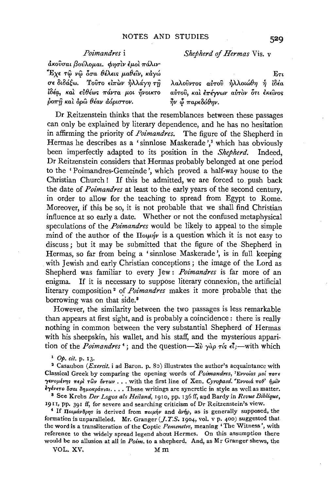# *Poimandres* i

 $d$ κούσαι βούλομαι. φησιν έμοι πάλιν· ~EXE Tee *vce 60"a B'AEl<; µ,aBELV, Kayw crE* 8iM~w. To1JTo *£171"tiiv -tiA.A.ay'Y} Ti/ lδέα*, και ευθέως πάντα μοι ήνοικτο *poπή καὶ δρῶ θέαν ἀόριστον.* 

*Shepherd* of *Hermas* Vis. v

 $E\tau t$ 

*Aaλοῦντος αὐτοῦ ηλλοιώθη η ιδέα* > ... ' , ' > ' ft/ , .... *avTov, Kal E71"E')'VWV avTOV OTl EKElVO'i*   $\vec{\eta}$ ν  $\vec{\phi}$  παρεδόθην.

Dr Reitzenstein thinks that the resemblances between these passages can only be explained by literary dependence, and he has no hesitation in affirming the priority of *Poimandres.* The figure of the Shepherd in Hermas he describes as a 'sinnlose Maskerade',<sup>1</sup> which has obviously been imperfectly adapted to its position in the *Shepherd.* Indeed, Dr Reitzenstein considers that Hermas probably belonged at one period to the ' Poimandres-Gemeinde ', which proved a half-way house to the Christian Church ! If this be admitted, we are forced to. push back the date of *Poimandres* at least to the early years of the second century, in order to allow for the teaching to spread from Egypt to Rome. Moreover, if this be so, it is not probable that we shall find Christian influence at so early a date. Whether or not the confused metaphysical speculations of the *Poimandres* would be likely to appeal to the simple mind of the author of the  $\prod_{\substack{u \text{at}}}$  is a question which it is not easy to discuss; but it may be submitted that the figure of the Shepherd in Hermas, so far from being a ' sinnlose Maskerade ', is in full keeping with Jewish and early Christian conceptions; the image of the Lord as Shepherd was familiar to every Jew: *Poimandres* is far more of an enigma. If it is necessary to suppose literary connexion, the artificial literary composition 2 of *Poimandres* makes it more probable that the borrowing was on that side.<sup>8</sup>

However, the similarity between the two passages is less remarkable than appears at first sight, and is probably a coincidence : there is really nothing in common between the very substantial Shepherd of Hermas with his sheepskin, his wallet, and his staff, and the mysterious apparition of the *Poimandres*<sup>4</sup>; and the question- $\Sigma_{\nu}$   $\gamma_{\alpha\rho}$   $\tau_{\nu}$   $\epsilon_{\nu}$  with which

<sup>1</sup> *Op. cit.* p. 13.<br><sup>2</sup> Casaubon *(Exercit.* i ad Baron. p. 80) illustrates the author's acquaintance with Classical Greek by comparing the opening words of *Poimandres*, 'Evvoias µoi *nore*  $\gamma$ *ενομένης περ*ί *τῶν ὄντων* ... with the first line of Xen. *Cyropaed. 'Εννοιά ποθ' ήμ*ιν i"(EVETo *iluai a71µ01'pcl.Tiai .* ••• These writings are syncretic in style as well as matter. 8 See Krebs *Der Logos als Reiland,* 1910, pp. 136 ff, ao.d Bardy in *Revue Biblique,* 

1911, pp. 391 ff, for severe and searching criticism of Dr Reitzenstein's view.

<sup>4</sup> If *Douavoons* is derived from  $\pi o \mu \dot{\eta} \nu$  and  $\dot{\alpha} \nu \dot{\eta} \rho$ , as is generally supposed, the formation is unparalleled. Mr. Granger (J. *T.S.* 1904, vol. v p. 400) suggested tha1 the word is a transliteration of the Coptic *Pemenetre,* meaning 'The Witness', with reference to the widely spread legend about Hermes. On this assumption there would be no allusion at all in *Poim.* to a shepherd. And, as Mr Granger shews, the

VOL. XV. Mm

529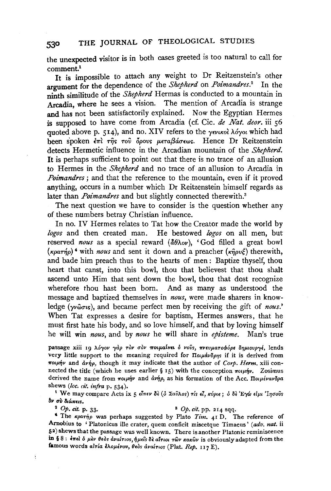the unexpected visitor is in both cases greeted is too natural to call for comment.<sup>1</sup>

It is impossible to attach any weight to Dr Reitzenstein's other argument for the dependence of the *Shepherd* on *Poimandres. <sup>2</sup>*In the ninth similitude of the *Shepherd* Hermas is conducted to a mountain in Arcadia, where he sees a vision. The mention of Arcadia is strange and has not been satisfactorily explained. Now the Egyptian Hermes is supposed to have come from Arcadia (cf. Cic. *de Nat. deor.* iii 56 quoted above p. 514), and no. XIV refers to the *yevikol*  $\lambda$ 6yoi which had been spoken  $\overline{\epsilon}$ *mi*  $\tau$ *ns*  $\tau$ <sup>00</sup>  $\delta$ *povs μεταβάσεως.* Hence Dr Reitzenstein detects Hermetic influence in the Arcadian mountain of the *Shepherd.*  It is perhaps sufficient to point out that there is no trace of an allusion to Hermes in the *Shepherd* and no trace of an allusion to Arcadia in *Poimandres*; and that the reference to the mountain, even if it proved anything, occurs in a number which Dr Reitzenstein himself regards as later than *Poimandres* and but slightly connected therewith.<sup>3</sup>

The next question we have to consider is the question whether any of these numbers betray Christian influence.

In no. IV Hermes relates to Tat how the Creator made the world by *logos* and then created man. He bestowed *logos* on all men, but reserved *nous* as a special reward  $(\frac{\partial \theta}{\partial v})$ , 'God filled a great bowl  $(\kappa \rho \alpha \tau \eta \rho)'$  with *nous* and sent it down and a preacher  $(\kappa \hat{\eta} \rho \nu \xi)$  therewith, and bade him preach thus to the hearts of men: Baptize thyself, thou heart that canst, into this bowl, thou that believest that thou shalt ascend unto Him that sent down the bowl, thou that dost recognize wherefore thou hast been born. And as many as understood the And as many as understood the message and baptized themselves in *nous,* were made sharers in knowledge (*γνώσις*), and became perfect men by receiving the gift of *nous*.' When Tat expresses a desire for baptism, Hermes answers, that he must first hate his body, and so love himself, and that by loving himself he will win *nous,* and by *nous* he will share in *episteme.* Man's true

passage xiii 10 λόγον γάρ τον σον ποιμαίνει ό νούς, πνευματοφόρε δημιουργέ, lends very little support to the meaning required for *Ποιμάνδοπs* if it is derived from *Tro1µfiv* and *dvfip,* though it may indicate that the author of *Corp. Herm.* xiii connected the title (which he uses earlier § 15) with the conception  $\pi o \mu \dot{\eta} \nu$ . Zosimus derived the name from ποιμήν and άνήρ, as his formation of the Acc. Ποιμένανδρα shews *(loc. cit. infra* p. 534).

<sup>t</sup> We may compare Acts ix 5 είπεν δε (δ Σαύλος) τίς εί, *κύριε*; δ δε Έγώ είμι 'Ιησούς<br>δν σύ διώκεις.

Ą

### $^{2}$  Op. *cit.* p. 33.  $^{3}$  Op. *cit.* pp. 214 sqq.

<sup>4</sup> The *«partip* was perhaps suggested by Plato *Tim.* 41 D. The reference of Arnobius to ' Platonicus ille crater, quern conficit miscetque Timaeus' *(adv. nat.* ii 5a) shews that the passage was well known. There is another Platonic reminiscence in §8: επεί δ μεν θεδs αναίτιος, ήμεις δε αίτιοι των κακων is obviously adapted from the famous words *alτία ελομένου*, θεδs αναίτιοs (Plat. *Rep.* 117 E).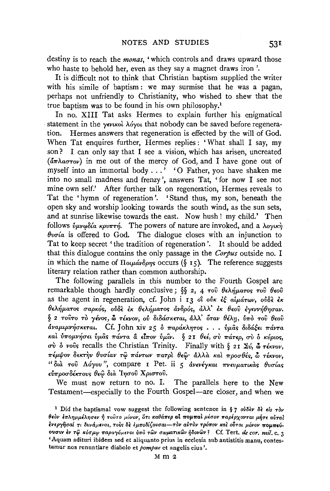destiny is to reach the *monas,* ' which controls and draws upward those who haste to behold her, even as they say a magnet draws iron'.

It is difficult not to think that Christian baptism supplied the writer with his simile of baptism : we may surmise that he was a pagan, perhaps not unfriendly to Christianity, who wished to shew that the true baptism was to be found in his own philosophy.1

In no. XIII Tat asks Hermes to explain further his enigmatical statement in the  $\gamma \epsilon \nu \kappa \delta \lambda \delta \nu \delta \omega t$  that nobody can be saved before regeneration. Hermes answers that regeneration is effected by the will of God. When Tat enquires further, Hermes replies: 'What shall I say, my son? I can only say that I see a vision, which has arisen, uncreated  $(\tilde{a}\pi\lambda a\sigma\tau o\nu)$  in me out of the mercy of God, and I have gone out of myself into an immortal body ... ' '0 Father, you have shaken me into no small madness and frenzy', answers Tat, ' for now I see not mine own self.' After further talk on regeneration, Hermes reveals to Tat the 'hymn of regeneration'. 'Stand thus, my son, beneath the open sky and worship looking towards the south wind, as the sun sets, and at sunrise likewise towards the east. Now hush ! my child.' Then follows  $\hat{v} \mu \nu \omega \delta \alpha$  *kpv<sub>TT</sub>*, The powers of nature are invoked, and a  $\lambda o \gamma \kappa \gamma$  $\theta$ voia is offered to God. The dialogue closes with an injunction to Tat to keep secret 'the tradition of regeneration'. It should be added that this dialogue contains the only passage in the *Corpus* outside no. I in which the name of  $\Pi_{0\mu\alpha\gamma\delta\rho\eta\varsigma}$  occurs (§ 15). The reference suggests literary relation rather than common authorship.

The following parallels in this number to the Fourth Gospel are remarkable though hardly conclusive;  $\S$ , 4  $\tau$ ov  $\theta \epsilon \lambda \hat{\eta} \mu \alpha \tau$ os  $\tau$ ov  $\theta \epsilon$ ov as the agent in regeneration, cf. John i 13 ot ovk  $\epsilon\xi$  aluarow, over  $\epsilon$ K  $\theta$ ελήματος σαρκός, ούδε έκ θελήματος άνδρός, άλλ' έκ θεού έγεννήθησαν.  $§$  2 τούτο τὸ γένος, ὦ τέκνον, οὐ διδάσκεται, ἀλλ' όταν θέλη, ύπὸ τοῦ θεοῦ  $d$ ναμιμνήσκεται. Cf. John xiv 25 δ παράκλητος  $\ldots$  ύμας διδάξει πάντα *Kal* Vtroµ.v~O"EL **VµUs** *7r0.vra* **&** *El?rov* **Vµ'iv. § 2 I** *()££,* **uV** *7r0.TEp, crV* **0** *KVpior;,*   $\sigma \dot{v}$   $\dot{\delta}$  vovs recalls the Christian Trinity. Finally with § 21  $\Sigma \dot{v}$ ,  $\delta \tau \dot{\epsilon} \kappa v \dot{\sigma} v$ , πέμψον δεκτήν θυσίαν τῷ πάντων πατρί θεῷ· ἀλλὰ καὶ προσθές, ὦ τέκνον, "διά του Λόγου", compare I Pet. ii 5 ανενέγκαι πνευματικάς θυσίας εύπροσδέκτους θεώ δια Ίησου Χριστου.

We must now return to no. I. The parallels here to the New Testament—especially to the Fourth Gospel—are closer, and when we

<sup>&</sup>lt;sup>1</sup> Did the baptismal vow suggest the following sentence in § 7  $\partial \partial \delta \partial y \, \delta \delta \, d\sigma$ **Beov επλημμέλησεν ή τουτο μόνον, ότι καθάπερ <b>al πομπαι** μέσον παρέρχονται μήτε αύται *Evepyijual* **'Tl** *8vv&.µevai, ToVs* a~ *Eµ11'olil(ovuat-T0v aVTOv Tp6wov Ka2* **oi\$Tot** *µ6vov* **11'0,...11'EV-**01JOW *iv* T~ *Korrµrp 1Tapa-y6µevo1 inro Twv rrwµan1<wv 7)3ovwv* 1 Cf. Tert. *de cor. mil.* c. 3 'Aquam adituri ibidem sed et aliquanto prius in ecclesia sub antistitis manu, contestamur nos renuntiare diabolo et *pompae* et angelis eius '.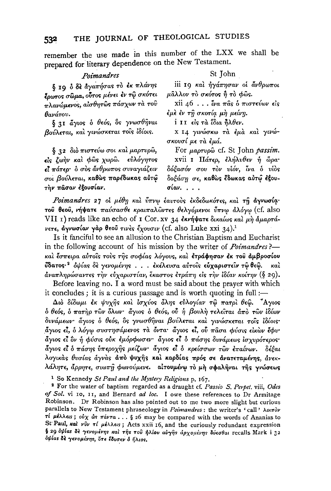remember the use made in this number of the LXX we shall be prepared for literary dependence on the New Testament.

### Poimandres

δ 19 δ δε άγαπήσας το έκ πλάνης έρωτος σώμα, ούτος μένει έν τώ σκότει πλανώμενος, αίσθητώς πάσχων τα του θανάτου.

§ 31 άγιος ο θεός, δε γνωσθήναι βούλεται, και γινώσκεται τοις ίδίοις.

δ 22 διό πιστεύω σοι και μαρτυρώ, είς ζωήν και φώς χωρώ. εὖλόγητος εί πάτερ· δ σὸς ἄνθρωπος συναγιάζειν σοι βούλεται, καθώς παρέδωκας αύτώ την πάσαν έξουσίαν.

### St Tohn

iii 19 και ήγάπησαν οι άνθρωποι μάλλον τὸ σκότος ή τὸ φῶς.

xii 46 . . . *ίνα πας ο πιστεύων είς* έμε έν τη σκοτία μη μείνη.

i II είς τα ΐδια πλθεν.

Χ Ι4 γινώσκω τα έμα και γινώσκουσί με τα έμά.

For  $\mu$ aprvpŵ cf. St John passim.

xvii 1 Πάτερ, ελήλυθεν ή ώρα· δόξασόν σου τον υίόν, ίνα ο υίος δο*ξάση σε,* καθώς έδωκας αὐτῷ ἐξουσίαν...

Poimandres 27 οι μέθη και ύπνω έαυτους εκδεδωκότες, και τη αγνωσία· τού θεού, νήψατε παύσασθε κραιπαλώντες θελγόμενοι ύπνω άλόγω (cf. also VII 1) reads like an echo of 1 Cor. xv 34 εκνήψατε δικαίως και μη άμαρτάνετε, αγνωσίαν γάρ θεού τινές έχουσιν (cf. also Luke xxi 34).<sup>1</sup>

Is it fanciful to see an allusion to the Christian Baptism and Eucharist in the following account of his mission by the writer of *Poimandres*? και έσπειρα αύτοις τους της σοφίας λόγους, και ετράφησαν έκ του αμβροσίου **ΰδατος·**<sup>2</sup> οψίας δε γενομένης ... εκέλευσα αύτοις εύχαριστείν τωθεω. καì αναπληρώσαντες την εύχαριστίαν, έκαστος ετράπη είς την ιδίαν κοίτην (§ 29).

Before leaving no. I a word must be said about the prayer with which it concludes; it is a curious passage and is worth quoting in full:-

Διὸ δίδωμι έκ ψυχής και ισχύος όλης εύλογίαν τω πατρι θεω. "Αγιος δ θεός, δ πατήρ των όλων· άγιος δ θεός, ού ή βουλή τελείται άπό των ίδίων δυνάμεων· άγιος ὁ θεός, ὃς γνωσθῆναι βούλεται καὶ γινώσκεται τοῖς ἰδίοις· άγιος εί, ο λόγω συστησάμενος τα όντα· άγιος εί, ού πασα φύσις εικων έφυ· άγιος εί ὃν ή φύσις ούκ εμόρφωσεν· άγιος εί ο πάσης δυνάμεως ισχυρότερος· άγιος εί ο πάσης υπεροχής μείζων άγιος εί ο κρείσσων των επαίνων. δέξαι λογικάς θυσίας άγνας άπό ψυχής και καρδίας πρός σε ανατεταμένης, άνεκλάλητε, άρρητε, σιωπή φωνούμενε. αίτουμένω το μή σφαλήναι της γνώσεως

<sup>1</sup> So Kennedy St Paul and the Mystery Religions p. 167.

<sup>2</sup> For the water of baptism regarded as a draught cf. Passio S. Perpet. viii, Odes of Sol. vi 10, 11, and Bernard ad loc. I owe these references to Dr Armitage Robinson. Dr Robinson has also pointed out to me two more slight but curious parallels to New Testament phraseology in Poimandres : the writer's 'call' λοιπόν  $τ$ ί μέλλεις; ούχ ώς πάντα... § 26 may be compared with the words of Ananias to St Paul, sal viv  $\tau i$   $\mu \epsilon \lambda \lambda \epsilon \nu s$ ; Acts xxii 16, and the curiously redundant expression § 29 οψίαs δε γενομένηs και της του ήλίου αύγης αρχομένης δύεσθαι recalls Mark i 32 δψίαs δε γενομένηs, ότε έδυσεν δ ήλιοs.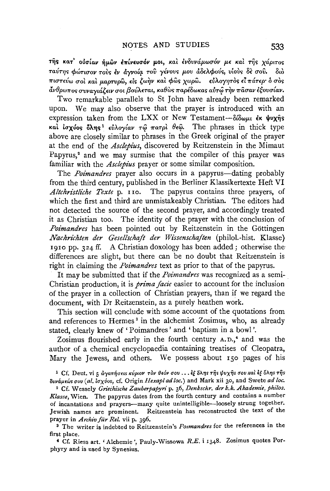τής κατ' ούσίαν ήμων επίνευσόν μοι, και ενδυνάμωσόν με και τής χάριτος ταύτης φώτισον τους έν άγνοία του γένους μου άδελφούς, υίους δε σου. διο πιστεύω σοι και μαρτυρώ, είς ζωήν και φώς χωρώ. εύλογητος είπάτερ· ό σος άνθρωπος συναγιάζειν σοι βούλεται, καθὼς παρέδωκας αὐτῶ τὴν πᾶσαν ἐξουσίαν.

Two remarkable parallels to St John have already been remarked upon. We may also observe that the prayer is introduced with an expression taken from the LXX or New Testament-δίδωμι έκ ψυχής και ίσχύος όλης<sup>1</sup> εύλογίαν τω πατρι θεώ. The phrases in thick type above are closely similar to phrases in the Greek original of the prayer at the end of the *Asclebius*, discovered by Reitzenstein in the Mimaut Papyrus,<sup>2</sup> and we may surmise that the compiler of this prayer was familiar with the Asclepius prayer or some similar composition.

The *Poimandres* prayer also occurs in a papyrus—dating probably from the third century, published in the Berliner Klassikertexte Heft VI Altchristliche Texte p. 110. The papyrus contains three prayers, of which the first and third are unmistakeably Christian. The editors had not detected the source of the second prayer, and accordingly treated it as Christian too. The identity of the prayer with the conclusion of Poimandres has been pointed out by Reitzenstein in the Göttingen Nachrichten der Gesellschaft der Wissenschaften (philol.-hist. Klasse) 1910 pp. 324 ff. A Christian doxology has been added; otherwise the differences are slight, but there can be no doubt that Reitzenstein is right in claiming the *Poimandres* text as prior to that of the papyrus.

It may be submitted that if the *Poimandres* was recognized as a semi-Christian production, it is *prima facie* easier to account for the inclusion of the prayer in a collection of Christian prayers, than if we regard the document, with Dr Reitzenstein, as a purely heathen work.

This section will conclude with some account of the quotations from and references to Hermes<sup>3</sup> in the alchemist Zosimus, who, as already stated, clearly knew of 'Poimandres' and 'baptism in a bowl'.

Zosimus flourished early in the fourth century A.D.,<sup>4</sup> and was the author of a chemical encyclopaedia containing treatises of Cleopatra. Mary the Jewess, and others. We possess about 150 pages of his

<sup>1</sup> Cf. Deut. vi 5 άγαπήσεις κύριον τον θεόν σου... εξ δλης της ψυχης σου και εξ δλης της δυνάμεώς σου (al. ίσχύος, cf. Origin Hexapl ad loc.) and Mark xii 30, and Swete ad loc.

<sup>2</sup> Cf. Wessely Griechische Zauberpapyri p. 36, Denkschr. der k.k. Akademie, philos. Klasse, Wien. The papyrus dates from the fourth century and contains a number of incantations and prayers-many quite unintelligible-loosely strung together. Jewish names are prominent. Reitzenstein has reconstructed the text of the prayer in Archiv für Rel. vii p. 396.

<sup>3</sup> The writer is indebted to Reitzenstein's *Poimandres* for the references in the first place.

<sup>4</sup> Cf. Riess art. 'Alchemie', Pauly-Wissowa R.E. i 1348. Zosimus quotes Porphyry and is used by Synesius.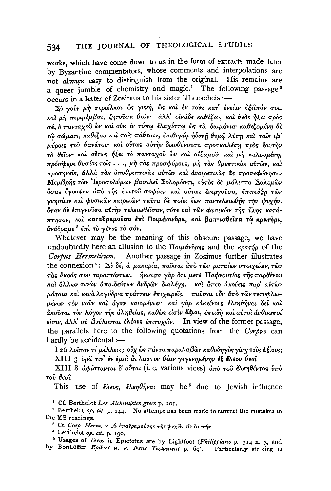#### THE JOURNAL OF THEOLOGICAL STUDIES 534

works, which have come down to us in the form of extracts made later by Byzantine commentators, whose comments and interpolations are not always easy to distinguish from the original. His remains are a queer jumble of chemistry and magic.<sup>1</sup> The following passage<sup>2</sup>  $\frac{1}{\sqrt{1-\frac{1}{\sqrt{1-\frac{1}{\sqrt{1-\frac{1}{\sqrt{1-\frac{1}{\sqrt{1-\frac{1}{\sqrt{1-\frac{1}{\sqrt{1-\frac{1}{\sqrt{1-\frac{1}{\sqrt{1-\frac{1}{\sqrt{1-\frac{1}{\sqrt{1-\frac{1}{\sqrt{1-\frac{1}{\sqrt{1-\frac{1}{\sqrt{1-\frac{1}{\sqrt{1-\frac{1}{\sqrt{1-\frac{1}{\sqrt{1-\frac{1}{\sqrt{1-\frac{1}{\sqrt{1-\frac{1}{\sqrt{1-\frac{1}{\sqrt{1-\frac{1}{\sqrt{1-\frac{1}{\sqrt{1-\frac{1}{\sqrt{1-\frac{1$ 

Σύ γούν μή περιέλκου ώς γυνή, ώς και έν τους κατ' ένείαν εξειπόν σοι. και μή περιρέμβου, ζητούσα θεόν άλλ' οικάδε καθέζου, και θεός ήξει προς σέ δ πανταγού ών και ούκ εν τόπω ελαγίστω ώς τα δαιμόνια καθεί ομένη δε τω σώματι, καθέζου και τοις πάθεσιν, επιθυμία ήδονη θυμω λύπη και ταις ιβ' μύραις του θανάτου και ούτως αυτήν διευθύνουσα προσκαλέση προς έαυτήν τὸ θεῖον καὶ οὖτως ἦξει τὸ πανταχοῦ ὢν καὶ οὐδαμοῦ καὶ μὴ καλουμένη. πρόσφερε θυσίας τοις..., μη τας προσφύρους, μη τας θρεπτικας αυτών, και προσηνείς, άλλα τας αποθρεπτικάς αύτων και αναιρετικάς δε προσεφώνησεν Μεμβρής των Ίεροσολύμων βασιλεί Σολομώντι, αύτος δε μάλιστα Σολομών δσας έγραψεν άπό της έαυτού σοφίας· και ούτως ένεργούσα, επιτεύξη των ννησίων και φυσικών καιρικών ταύτα δε ποίει έως παντελειωθής την ψυχήν. .<br>όταν δε έπιγνούσα αύτην τελειωθείσαν, τότε και των φυσικών της ύλης κατάπτησον, καί καταδραμούσα έπι Ποιμένανδρα, και βαπτισθείσα τώ κρατήρι, ανάδραμε<sup>3</sup> έπι το γένος το σόν.

Whatever may be the meaning of this obscure passage, we have undoubtedly here an allusion to the  $\Pi_{\alpha\mu\alpha}$  and the  $\kappa_{\beta}$  and the  $\kappa_{\beta}$  of the Corpus Hermeticum. Another passage in Zosimus further illustrates the connexion<sup>4</sup>: Σύ δέ, ω μακαρία, παύσαι άπὸ τῶν ματαίων στοιχείων, τῶν τας άκοάς σου ταραττόντων. ήκουσα γαρ ότι μετα Παφνουτίας της παρθένου και άλλων τινών απαιδεύτων ανδρών διαλέγη. και άπερ ακούεις παρ' αυτών μάταια και κενα λογύδρια πράττειν επιχειρείς. παύσαι ούν άπο των τετυφλωμένων τον νούν και άγαν καιομένων· και γαρ κάκείνους έλεηθήναι δεί και ακούσαι τον λόγον της αληθείας, καθώς είσιν άξιοι, επειδη και αυτοι άνθρωποί είσιν, άλλ' ού βούλονται έλέους έπιτυχείν. In view of the former passage, the parallels here to the following quotations from the Corpus can hardly be accidental :-

Ι 26 λοΐπον τί μέλλεις; ούχ ώς πάντα παραλαβών καθοδηγός γίνη τους άξίοις; XIII 3 δρώ τιν' έν έμοι άπλαστον θέαν γεγενημένην εξ έλέου θεού

XIII 8 αφίστανται δ' αύται (i. e. various vices) από του ελεηθέντος ύπο  $τού θεού$ 

This use of  $\zeta \wedge \epsilon$  os,  $\zeta \wedge \epsilon \eta \theta \hat{\eta}$  var may be due to Jewish influence

<sup>1</sup> Cf. Berthelot Les Alchimistes grecs p. 201.

<sup>2</sup> Berthelot op.  $ct.$  p. 244. No attempt has been made to correct the mistakes in the MS readings.

<sup>3</sup> Cf. Corp. Herm. x 16 αναδραμούσης της ψυχης είς έαυτήν.

<sup>4</sup> Berthelot op. cit. p. 190.

<sup>6</sup> Usages of theos in Epictetus are by Lightfoot (Philippians p. 314 n. 3, and by Bonhoffer Epiktet u. d. Neue Testament p. 69). Particularly striking is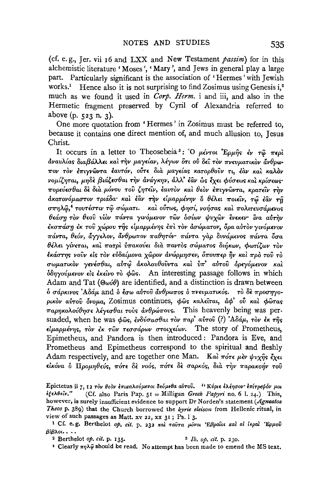(cf. e.g., Jer. vii 16 and LXX and New Testament passim) for in this alchemistic literature 'Moses', 'Mary', and Jews in general play a large part. Particularly significant is the association of 'Hermes' with Jewish works.<sup>1</sup> Hence also it is not surprising to find Zosimus using Genesis  $i^2$ . much as we found it used in *Corp. Herm.* i and iii, and also in the Hermetic fragment preserved by Cyril of Alexandria referred to above  $(p. 523 n. 3)$ .

One more quotation from 'Hermes' in Zosimus must be referred to, because it contains one direct mention of, and much allusion to, Jesus Christ.

It occurs in a letter to Theosebeia<sup>3</sup>: "O  $\mu\epsilon\nu\tau\omega$  'Ep $\mu\hat{\eta}$ s  $\epsilon\nu\tau\hat{\omega}$   $\pi\epsilon\rho\hat{\iota}$ άναυλίας διαβάλλει και την μαγείαν, λέγων ότι ού δει τον πνευματικον άνθρωπον τὸν ἐπιγνῶντα ἑαυτόν, οὖτε διὰ μαγείας κατορθοῦν τι, ἐὰν καὶ καλὸν νομίζηται, μηδε βιάζεσθαι την ανάγκην, άλλ' έαν ως έχει φύσεως και κρίσεως· πορεύεσθαι δε δια μόνου του ζητείν, έαυτον και θεον επιγνώντα, κρατείν την άκατονόμαστον τριάδα· και έαν την είμαρμένην δ θέλει ποιείν, τώ έαν τη σπηλώ,<sup>4</sup> τουτέστιν τώ σώματι. και ούτως, φησί, νοήσας και πολιτευσάμενος θεάση τον θεού υίον πάντα γινόμενον των δσίων ψυχών ένεκεν ίνα αύτην έκσπάση έκ τοῦ χώρου τῆς εἱμαρμένης ἐπὶ τὸν ἀσώματον, ὅρα αὐτὸν γινόμενον πάντα, θεόν, άγγελον, άνθρωπον παθητόν· πάντα γαρ δυνάμενος πάντα δσα θέλει γίνεται, καὶ πατρὶ ὑπακούει διὰ παντὸς σώματος διήκων, φωτίζων τὸν έκάστης νούν είς τον εύδαίμονα χώρον ανώρμησεν, όπουπερ ήν και προ του το σωματικὸν γενέσθαι, αὐτῷ ἀκολουθοῦντα καὶ ὑπ' αὐτοῦ ὀρεγόμενον καὶ δδηγούμενον είς έκείνο τὸ φῶς. An interesting passage follows in which Adam and Tat ( $\Theta$ wi $\theta$ ) are identified, and a distinction is drawn between δ σάρκινος Αδάμ and δ έσω αύτου άνθρωπος δ πνευματικός. το δε προσηγορικόν αύτου όνομα, Zosimus continues, φως καλείται, άφ' ού και φώτας παρηκολούθησε λέγεσθαι τούς άνθρώπους. This heavenly being was persuaded, when he was  $\phi$ ως, ενδύσασθαι τον παρ' αύτου (?) 'Αδάμ, τον εκ της είμαρμένης, τον έκ των τεσσάρων στοιχείων. The story of Prometheus, Epimetheus, and Pandora is then introduced: Pandora is Eve, and Prometheus and Epimetheus correspond to the spiritual and fleshly Adam respectively, and are together one Man. Kai  $\pi$ *ore*  $\mu$ èv  $\psi \nu \chi \hat{\eta}$ s  $\zeta \chi \epsilon \iota$ είκόνα ο Προμηθεύς, πότε δε νοός, πότε δε σαρκός, δια την παρακοήν του

Epictetus ii 7, 12 τον θεον επικαλούμενοι δεόμεθα αύτου. ''Κύριε ελέησον' επίτρεψόν μοι ἐξελθεῖν." (Cf. also Paris Pap.  $5I =$  Milligan Greek Papyri no. 6 1. 24.) This, however, is surely insufficient evidence to support Dr Norden's statement (Agnostos Theos p. 389) that the Church borrowed the kyrie eleison from Hellenic ritual, in view of such passages as Matt. xv 22, xx 31; Ps. 13.

<sup>1</sup> Cf. e.g. Berthelot op. cit. p. 232 και ταύτα μόνοι Εβραίοι και αί ιεραί Ερμού  $\beta$ ί $\beta$ λοι...

<sup>2</sup> Berthelot  $op. cit. p. 135.$ 

<sup>3</sup> *Ib. op. cit.* p. 230.

<sup>4</sup> Clearly  $\pi\eta\lambda\hat{\varphi}$  should be read. No attempt has been made to emend the MS text.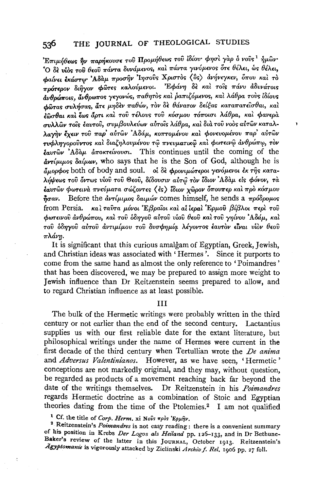$\sum T \pi \mu \eta \theta \epsilon$ ως ην παρήκουσε του Προμήθεως του ίδίου φησί γαρ ο νους  $^1$  ήμων .<br>Ο δε νίος του θεού πάντα δυνάμενος, και πάντα γινόμενος ότε θέλει, ως θέλει. φαίνει έκάστω Αδάμ προσην Ιησούς Χριστός (δς) ανήνεγκεν, όπου και το πρότερον διήγον φώτες καλούμενοι. Εφάνη δε και τοις πάνυ άδυνάτοις ανθρώποις, άνθρωπος γεγονώς, παθητός και ραπιζόμενος, και λάθρα τους ιδίους φώτας συλήσας, άτε μηδεν παθών, τον δε θάνατον δείξας καταπατείσθαι, και έδοσθαι και έως άρτι και του τέλους του κόσμου τόποισι λάθρα, και φανερα συλλών τους έαυτου, συμβουλεύων αύτους λάθρα, και δια του νοος αύτων καταλλαγήν ένειν του παρ' αύτων 'Αδάμ, κοπτομένου και φονευομένου παρ' αύτων τυφληγορούντος και διαζηλουμένου τω πνευματικώ και φωτεινώ ανθρώπω, τον  $\epsilon_{\alpha}$   $\partial y$   $\partial \alpha$   $\partial \alpha$   $\partial \alpha$   $\partial \alpha$   $\partial \alpha$  are a  $\partial \alpha$ . This continues until the coming of the  $\frac{\partial u}{\partial y}$   $\frac{\partial u}{\partial y}$  as  $\frac{\partial u}{\partial y}$  who says that he is the Son of God, although he is άμορφος both of body and soul. of δε φρονιμώτεροι γενόμενοι έκ της καταλήψεως του όντως υίου του Θεού, δίδουσιν αύτω τον ίδιον Αδάμ είς φόνον, τα έαυτών φωτεινά πνεύματα σώζοντες (ες) ίδιον γώρον δπουπερ και προ κόσμου  $\eta_{\sigma\alpha\nu}$ . Before the  $\frac{\partial \nu}{\partial \mu}$  back  $\frac{\partial \nu}{\partial \mu}$  comes himself, he sends a  $\pi \rho \delta \delta \rho \rho \omega \sigma$ from Persia. και ταυτα μόνοι Έβραΐοι και αι ιεραι Έρμου βίβλοι περι του φωτεινού ανθρώπου, και του όδηγου αύτου υίου θεού και του γηίνου 'Αδάμ, και του δδηγου αύτου άντιμίμου του δυσφημία λέγοντος έαυτον είναι υίον θεου πλάνη.

¥

It is significant that this curious amalgam of Egyptian, Greek, Jewish, and Christian ideas was associated with 'Hermes'. Since it purports to come from the same hand as almost the only reference to 'Poimandres' that has been discovered, we may be prepared to assign more weight to Jewish influence than Dr Reitzenstein seems prepared to allow, and to regard Christian influence as at least possible.

## **TTT**

The bulk of the Hermetic writings were probably written in the third century or not earlier than the end of the second century. Lactantius supplies us with our first reliable date for the extant literature, but philosophical writings under the name of Hermes were current in the first decade of the third century when Tertullian wrote the *De anima* and Adversus Valentinianos. However, as we have seen, 'Hermetic' conceptions are not markedly original, and they may, without question, be regarded as products of a movement reaching back far beyond the date of the writings themselves. Dr Reitzenstein in his *Poimandres* regards Hermetic doctrine as a combination of Stoic and Egyptian theories dating from the time of the Ptolemies.<sup>2</sup> I am not qualified

<sup>1</sup> Cf. the title of Corp. Herm. xi Novs  $\pi \rho \delta s$  'Epuny.

<sup>2</sup> Reitzenstein's *Poimandres* is not easy reading : there is a convenient summary of his position in Krebs Der Logos als Heiland pp. 126-133, and in Dr Bethune-Baker's review of the latter in this JOURNAL, October 1913. Reitzenstein's Agyptomanie is vigorously attacked by Zielinski Archiv f. Rel. 1906 pp. 27 foll.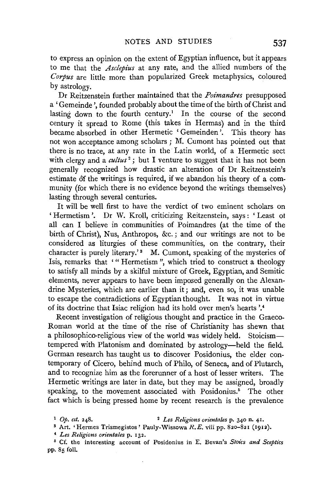to express an opinion on the extent of Egyptian influence, but it appears to me that the *Asclepius* at any rate, and the allied numbers of the *Corpus* are little more than popularized Greek metaphysics, coloured by astrology.

Dr Reitzenstein further maintained that the *Poimandres* presupposed a 'Gemeinde ', founded probably about the time of the birth of Christ and lasting down to the fourth century.<sup>1</sup> In the course of the second century it spread to Rome (this takes in Hermas) and in the third became absorbed in other Hermetic ' Gemeinden '. This theory has not won acceptance among scholars ; M. Cumont has pointed out that there is no trace, at any rate in the Latin world, of a Hermetic sect with clergy and a *cultus*<sup>2</sup>; but I venture to suggest that it has not been generally recognized how drastic an alteration of Dr Reitzenstein's estimate of the writings is required, if we abandon his theory of a community (for which there is no evidence beyond the writings themselves) lasting through several centuries.

It will be well first to have the verdict of two eminent scholars on 'Hermetism '. Dr W. Kroll, criticizing Reitzenstein, says: 'Least ot all can I believe in communities of Poimandres (at the time of the birth of Christ), Nus, Anthropos, &c.; and our writings are not to be considered as liturgies of these communities, on the contrary, their character is purely literary.'<sup>3</sup> M. Cumont, speaking of the mysteries of Isis, remarks that '" Hermetism", which tried to construct a theology to satisfy all minds by a skilful mixture of Greek, Egyptian, and Semitic elements, never appears to have been imposed generally on the Alexandrine Mysteries, which are earlier than it; and, even so, it was unable to escape the contradictions of Egyptian thought. It was not in virtue of its doctrine that Isiac religion had its hold over men's hearts'.•

Recent investigation of religious thought and practice in the Graeco-Roman world at the time of the rise of Christianity has shewn that a philosophico-religious view of the world was widely held. Stoicismtempered with Platonism and dominated by astrology-held the field. German research has taught us to discover Posidonius, the elder contemporary of Cicero, behind much of Philo, of Seneca, and of Plutarch, and to recognize him as the forerunner of a host of lesser writers. The Hermetic writings are later in date, but they may be assigned, broadly speaking, to the movement associated with Posidonius.<sup>5</sup> The other fact which is being pressed home by recent research is the prevalence

<sup>1</sup>*Op. cit.* 248. 2 *Les Religions orientates* p. 340 n. 41. 8 Art. 'Hermes Trismegistos' Pauly-Wissowa R.E. viii pp. 820-821 (1912).

<sup>&</sup>lt;sup>4</sup> Les Religions orientales p. 132.

<sup>•</sup> Cf. the interesting account of Posidonius in E. Bevan's *Stoics and Sceptics*  pp. 85 foll.